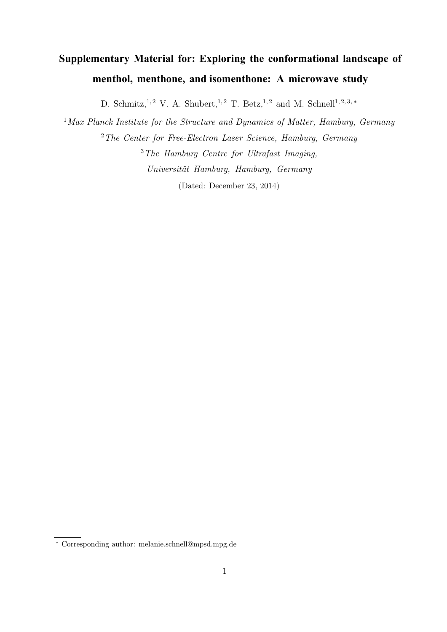# **Supplementary Material for: Exploring the conformational landscape of menthol, menthone, and isomenthone: A microwave study**

D. Schmitz,<sup>1,2</sup> V. A. Shubert,<sup>1,2</sup> T. Betz,<sup>1,2</sup> and M. Schnell<sup>1,2,3,\*</sup>

<sup>1</sup>*Max Planck Institute for the Structure and Dynamics of Matter, Hamburg, Germany* <sup>2</sup>*The Center for Free-Electron Laser Science, Hamburg, Germany* <sup>3</sup>*The Hamburg Centre for Ultrafast Imaging, Universität Hamburg, Hamburg, Germany* (Dated: December 23, 2014)

<sup>∗</sup> Corresponding author: melanie.schnell@mpsd.mpg.de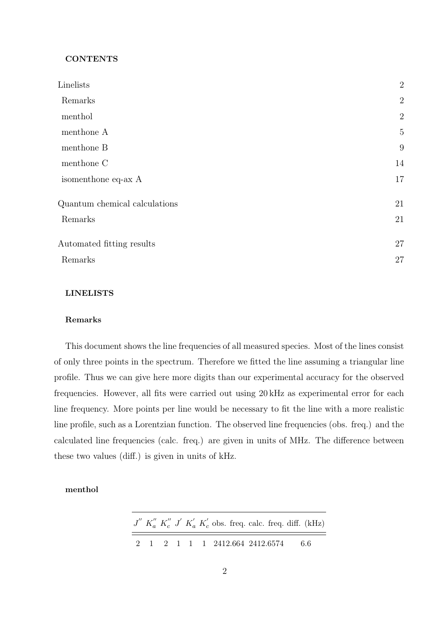#### **CONTENTS**

| Linelists                     | $\overline{2}$ |
|-------------------------------|----------------|
| Remarks                       | $\overline{2}$ |
| menthol                       | $\overline{2}$ |
| menthone A                    | $\overline{5}$ |
| menthone B                    | 9              |
| menthone C                    | 14             |
| isomenthone eq-ax A           | 17             |
| Quantum chemical calculations | 21             |
| Remarks                       | 21             |
| Automated fitting results     | 27             |
| Remarks                       | 27             |

## LINELISTS

#### Remarks

This document shows the line frequencies of all measured species. Most of the lines consist of only three points in the spectrum. Therefore we fitted the line assuming a triangular line profile. Thus we can give here more digits than our experimental accuracy for the observed frequencies. However, all fits were carried out using 20 kHz as experimental error for each line frequency. More points per line would be necessary to fit the line with a more realistic line profile, such as a Lorentzian function. The observed line frequencies (obs. freq.) and the calculated line frequencies (calc. freq.) are given in units of MHz. The difference between these two values (diff.) is given in units of kHz.

## menthol

|  |  |  |                                    |  | $J'' K''_a K''_c J' K'_a K'_c$ obs. freq. calc. freq. diff. (kHz) |
|--|--|--|------------------------------------|--|-------------------------------------------------------------------|
|  |  |  | 2 1 2 1 1 1 2412.664 2412.6574 6.6 |  |                                                                   |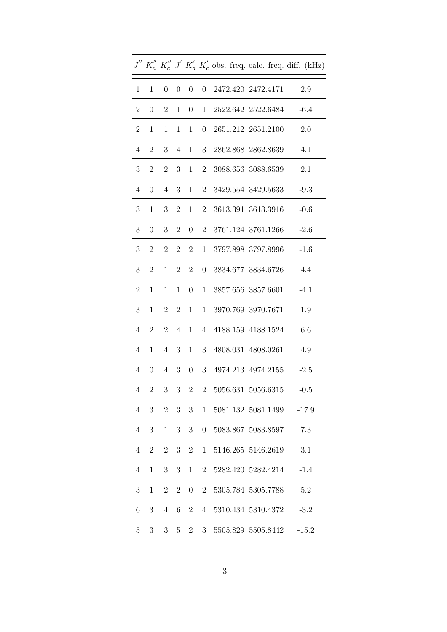|                      |                                 |                  |                      |                  |                |  |                                                                                        |  | $J^{\prime\prime}$ $K_a^{\prime\prime}$ $K_c^{\prime\prime}$ $J^{\prime}$ $K_a^{\prime}$ $K_c^{\prime}$ obs. freq. calc. freq. diff. (kHz) |
|----------------------|---------------------------------|------------------|----------------------|------------------|----------------|--|----------------------------------------------------------------------------------------|--|--------------------------------------------------------------------------------------------------------------------------------------------|
| $\mathbf{1}$         | 1                               | $\boldsymbol{0}$ |                      | $0 \quad 0$      |                |  | 0 2472.420 2472.4171                                                                   |  | 2.9                                                                                                                                        |
| $\overline{2}$       | $\theta$                        | $\overline{2}$   | 1                    | $\overline{0}$   | $\mathbf{1}$   |  | 2522.642 2522.6484                                                                     |  | $-6.4$                                                                                                                                     |
| $\overline{2}$       | $\mathbf 1$                     | 1                | $\mathbf{1}$         | $\mathbf{1}$     | $\overline{0}$ |  | 2651.212 2651.2100                                                                     |  | 2.0                                                                                                                                        |
| $\overline{4}$       | $\overline{2}$                  | 3                |                      |                  |                |  | 4 1 3 2862.868 2862.8639                                                               |  | 4.1                                                                                                                                        |
| 3 <sup>1</sup>       | 2                               | $\overline{2}$   | 3                    | 1                |                |  | 2 3088.656 3088.6539                                                                   |  | 2.1                                                                                                                                        |
| $\overline{4}$       | $\boldsymbol{0}$                | $\overline{4}$   | 3 <sup>1</sup>       | 1                | $\overline{2}$ |  | 3429.554 3429.5633                                                                     |  | $-9.3$                                                                                                                                     |
| $\boldsymbol{3}$     | $\mathbf 1$                     | 3                | $\overline{2}$       | 1                | $\overline{2}$ |  | 3613.391 3613.3916                                                                     |  | $-0.6$                                                                                                                                     |
| 3 <sup>1</sup>       | $\boldsymbol{0}$                | $\boldsymbol{3}$ | $\overline{2}$       | $\overline{0}$   | $\overline{2}$ |  | 3761.124 3761.1266                                                                     |  | $-2.6$                                                                                                                                     |
| 3 <sup>1</sup>       | $\mathbf{2}$                    | $\overline{2}$   |                      | $2\quad 2$       |                |  | 1 3797.898 3797.8996                                                                   |  | $-1.6$                                                                                                                                     |
| 3                    | $\overline{2}$                  | $\mathbf 1$      | $\overline{2}$       | 2 <sup>1</sup>   | $\overline{0}$ |  | 3834.677 3834.6726                                                                     |  | 4.4                                                                                                                                        |
| $\boldsymbol{2}$     | 1                               | 1                | $\mathbf{1}$         | $\overline{0}$   | 1              |  | 3857.656 3857.6601                                                                     |  | $-4.1$                                                                                                                                     |
| 3                    | $\mathbf 1$                     | $\overline{2}$   | $2^{-}$              | $\mathbf{1}$     | 1              |  | 3970.769 3970.7671                                                                     |  | 1.9                                                                                                                                        |
| $\overline{4}$       | $\mathbf{2}$                    | $\overline{2}$   | $4\phantom{.0000}\,$ |                  |                |  | 1 4 4188.159 4188.1524                                                                 |  | 6.6                                                                                                                                        |
| $\overline{4}$       | $\mathbf{1}$                    |                  | $4 \quad 3$          |                  | $1 \quad 3$    |  | 4808.031 4808.0261                                                                     |  | 4.9                                                                                                                                        |
| $4\phantom{.0000}\,$ | $\begin{matrix} 0 \end{matrix}$ | $4 -$            |                      |                  |                |  | 3 0 3 4974.213 4974.2155 -2.5                                                          |  |                                                                                                                                            |
|                      |                                 |                  |                      |                  |                |  | $4 \quad 2 \quad 3 \quad 3 \quad 2 \quad 2 \quad 5056.631 \quad 5056.6315 \qquad -0.5$ |  |                                                                                                                                            |
| $\overline{4}$       | $\sqrt{3}$                      | $\overline{2}$   | 3 <sup>1</sup>       | 3                | $\mathbf{1}$   |  | 5081.132 5081.1499                                                                     |  | $-17.9$                                                                                                                                    |
| 4                    | 3                               | 1                | 3                    | 3                | $\overline{0}$ |  | 5083.867 5083.8597                                                                     |  | 7.3                                                                                                                                        |
| $\overline{4}$       | $\overline{2}$                  | $\sqrt{2}$       | 3                    | $\sqrt{2}$       | $\mathbf{1}$   |  | 5146.265 5146.2619                                                                     |  | 3.1                                                                                                                                        |
| $\overline{4}$       | $\mathbf{1}$                    | 3                | 3 <sup>1</sup>       | $\mathbf{1}$     | $2^{-}$        |  | 5282.420 5282.4214                                                                     |  | $-1.4$                                                                                                                                     |
| 3                    | $\mathbf 1$                     | $\boldsymbol{2}$ | $\overline{2}$       | $\boldsymbol{0}$ | $\overline{2}$ |  | 5305.784 5305.7788                                                                     |  | 5.2                                                                                                                                        |
| 6                    | 3                               | $\overline{4}$   | 6                    | $\overline{2}$   | $\overline{4}$ |  | 5310.434 5310.4372                                                                     |  | $-3.2$                                                                                                                                     |
| $\overline{5}$       | 3                               | $\boldsymbol{3}$ | $5^{\circ}$          | $\overline{2}$   | 3 <sup>1</sup> |  | 5505.829 5505.8442                                                                     |  | $-15.2$                                                                                                                                    |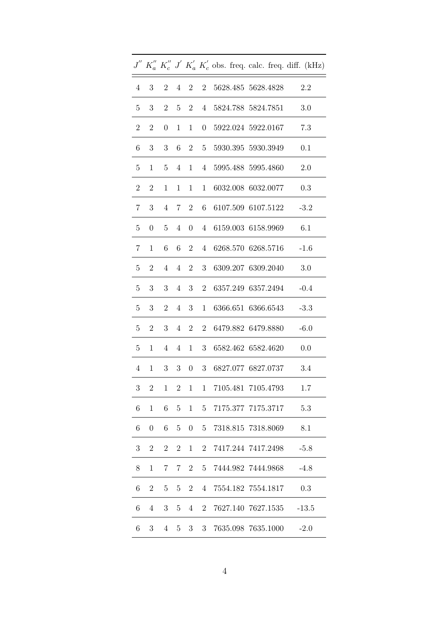|                |                  |                  |                         |                  |                  |  |                        | $J^{\prime\prime}$ $K_{a}^{\prime\prime}$ $K_{c}^{\prime\prime}$ $J^{\prime}$ $K_{a}^{\prime}$ $K_{c}^{\prime}$ obs. freq. calc. freq. diff. (kHz) |  |
|----------------|------------------|------------------|-------------------------|------------------|------------------|--|------------------------|----------------------------------------------------------------------------------------------------------------------------------------------------|--|
| $\overline{4}$ | 3                | $\overline{2}$   | $\overline{4}$          |                  | $2 \quad 2$      |  | 5628.485 5628.4828     | 2.2                                                                                                                                                |  |
| $\overline{5}$ | 3                | $\overline{2}$   | 5                       | 2 <sup>1</sup>   | $4\overline{ }$  |  | 5824.788 5824.7851     | 3.0                                                                                                                                                |  |
| $\overline{2}$ | $\overline{2}$   | $\boldsymbol{0}$ | 1                       | $\mathbf{1}$     | $\boldsymbol{0}$ |  | 5922.024 5922.0167     | 7.3                                                                                                                                                |  |
| 6              | 3                | $\boldsymbol{3}$ | 6                       | $\overline{2}$   |                  |  | 5 5930.395 5930.3949   | 0.1                                                                                                                                                |  |
| $5^{\circ}$    | 1                | $\overline{5}$   | $\overline{4}$          |                  |                  |  | 1 4 5995.488 5995.4860 | 2.0                                                                                                                                                |  |
| $\overline{2}$ | $\overline{2}$   | 1                | $\mathbf{1}$            | $\mathbf{1}$     | $\mathbf{1}$     |  | 6032.008 6032.0077     | 0.3                                                                                                                                                |  |
| $\overline{7}$ | 3                | $\overline{4}$   | $7\degree$              | $2^{\circ}$      | 6                |  | 6107.509 6107.5122     | $-3.2$                                                                                                                                             |  |
| $\overline{5}$ | $\boldsymbol{0}$ | $\overline{5}$   | $\overline{4}$          | $\overline{0}$   | $\overline{4}$   |  | 6159.003 6158.9969     | 6.1                                                                                                                                                |  |
| $\overline{7}$ | $\mathbf{1}$     | 6                | 6                       | $2^{\circ}$      | 4                |  | 6268.570 6268.5716     | $-1.6$                                                                                                                                             |  |
| 5 <sup>5</sup> | $\overline{2}$   | $\overline{4}$   | $4\phantom{.0000}\,$    | $2^{\circ}$      | 3 <sup>1</sup>   |  | 6309.207 6309.2040     | 3.0                                                                                                                                                |  |
| $\overline{5}$ | $\sqrt{3}$       | $\boldsymbol{3}$ | $4\phantom{.0000}\,$    | 3 <sup>1</sup>   | $\overline{2}$   |  | 6357.249 6357.2494     | $-0.4$                                                                                                                                             |  |
| $\overline{5}$ | 3                | $\overline{2}$   | $\overline{4}$          | 3 <sup>1</sup>   | 1                |  | 6366.651 6366.6543     | $-3.3$                                                                                                                                             |  |
| $\overline{5}$ | $\overline{2}$   | 3                | $\overline{4}$          | 2 <sup>1</sup>   | $2^{\circ}$      |  | 6479.882 6479.8880     | $-6.0$                                                                                                                                             |  |
| 5 <sup>5</sup> | $\mathbf{1}$     | $\overline{4}$   | $\overline{4}$          | 1                |                  |  | 3 6582.462 6582.4620   | 0.0                                                                                                                                                |  |
| $\overline{4}$ | $\mathbf{1}$     | 3                | 3 <sup>1</sup>          | $\overline{0}$   | 3 <sup>1</sup>   |  | 6827.077 6827.0737     | 3.4                                                                                                                                                |  |
| 3              | $\boldsymbol{2}$ | $\mathbf{1}$     | $\overline{\mathbf{c}}$ | $\mathbf{1}$     |                  |  | 1 7105.481 7105.4793   | 1.7                                                                                                                                                |  |
| $\,6$          | $\mathbf{1}$     | $\,6$            | $\overline{5}$          | $\mathbf{1}$     | $\overline{5}$   |  | 7175.377 7175.3717     | 5.3                                                                                                                                                |  |
| 6              | 0                | 6                | 5                       | $\boldsymbol{0}$ | 5                |  | 7318.815 7318.8069     | 8.1                                                                                                                                                |  |
| $\sqrt{3}$     | $\overline{2}$   | $\overline{2}$   | $\overline{2}$          | $\mathbf{1}$     | $\overline{2}$   |  | 7417.244 7417.2498     | $-5.8$                                                                                                                                             |  |
| $8\,$          | $\mathbf{1}$     | 7                | 7                       | $\overline{2}$   | $\overline{5}$   |  | 7444.982 7444.9868     | $-4.8$                                                                                                                                             |  |
| 6              | $\overline{2}$   | $\overline{5}$   | 5                       | $\overline{2}$   | $\overline{4}$   |  | 7554.182 7554.1817     | 0.3                                                                                                                                                |  |
| 6              | $\overline{4}$   | $\boldsymbol{3}$ | 5                       | 4                | $\overline{2}$   |  | 7627.140 7627.1535     | $-13.5$                                                                                                                                            |  |
| 6              | 3                | 4                | 5                       | 3 <sup>1</sup>   | 3 <sup>1</sup>   |  | 7635.098 7635.1000     | $-2.0$                                                                                                                                             |  |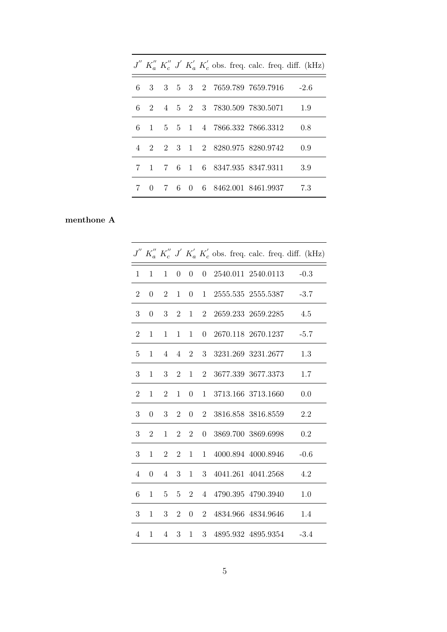|   |  |  |                                   |  | $J'' K''_a K''_c J' K'_a K'_c$ obs. freq. calc. freq. diff. (kHz) |
|---|--|--|-----------------------------------|--|-------------------------------------------------------------------|
| 6 |  |  | 3 3 5 3 2 7659.789 7659.7916 -2.6 |  |                                                                   |
| 6 |  |  | 2 4 5 2 3 7830.509 7830.5071 1.9  |  |                                                                   |
| 6 |  |  | 1 5 5 1 4 7866.332 7866.3312      |  | -0.8                                                              |
|   |  |  | 4 2 2 3 1 2 8280.975 8280.9742    |  | 0.9                                                               |
| 7 |  |  | 1 7 6 1 6 8347.935 8347.9311      |  | 3.9                                                               |
|   |  |  | 0 7 6 0 6 8462.001 8461.9937      |  | 7.3                                                               |

# menthone A

|                |                  |                |                  |                  |                  |                    |                    |                    | $J''$ $K''_a$ $K''_c$ $J'$ $K'_a$ $K'_c$ obs. freq. calc. freq. diff. (kHz) |
|----------------|------------------|----------------|------------------|------------------|------------------|--------------------|--------------------|--------------------|-----------------------------------------------------------------------------|
| $\mathbf{1}$   | 1                | $\mathbf{1}$   | $\boldsymbol{0}$ | $\overline{0}$   | $\boldsymbol{0}$ | 2540.011 2540.0113 |                    |                    | $-0.3$                                                                      |
| $\overline{2}$ | $\boldsymbol{0}$ | $2^{\circ}$    | $\mathbf{1}$     | $\overline{0}$   | 1                |                    |                    | 2555.535 2555.5387 | $-3.7$                                                                      |
| 3              | $\boldsymbol{0}$ | 3 <sup>1</sup> | 2                | $\mathbf 1$      | $\overline{2}$   |                    | 2659.233 2659.2285 |                    | 4.5                                                                         |
| $\overline{2}$ | 1                | $\mathbf 1$    | 1                | $\mathbf{1}$     | $\overline{0}$   |                    |                    | 2670.118 2670.1237 | $-5.7$                                                                      |
| $\overline{5}$ | 1                | $\overline{4}$ | $\overline{4}$   | $\overline{2}$   | 3                |                    | 3231.269 3231.2677 |                    | 1.3                                                                         |
| 3              | 1                | 3 <sup>1</sup> | $\overline{2}$   | $\mathbf 1$      | $2^{\circ}$      |                    | 3677.339 3677.3373 |                    | $1.7\,$                                                                     |
| $\overline{2}$ | 1                | $\overline{2}$ | 1                | $\boldsymbol{0}$ | $\mathbf{1}$     |                    | 3713.166 3713.1660 |                    | 0.0                                                                         |
| 3              | $\overline{0}$   | 3              | $\overline{2}$   | $\overline{0}$   | $\overline{2}$   |                    | 3816.858 3816.8559 |                    | $2.2\,$                                                                     |
| 3              | 2                | $\mathbf{1}$   | $2^{\circ}$      | $\overline{2}$   | $\boldsymbol{0}$ |                    | 3869.700 3869.6998 |                    | 0.2                                                                         |
| 3              | 1                | $2^{\circ}$    | $\overline{2}$   | $\mathbf{1}$     | $\mathbf 1$      |                    | 4000.894 4000.8946 |                    | $-0.6$                                                                      |
| $\overline{4}$ | $\overline{0}$   | $4 -$          | 3 <sup>1</sup>   | $\mathbf{1}$     | 3                |                    | 4041.261 4041.2568 |                    | 4.2                                                                         |
| 6              | 1                | 5 <sup>5</sup> | $5\phantom{.0}$  | $\overline{2}$   | $\overline{4}$   |                    | 4790.395 4790.3940 |                    | 1.0                                                                         |
| 3              | 1                | 3 <sup>1</sup> | 2 <sup>1</sup>   | $\overline{0}$   | $\overline{2}$   |                    | 4834.966 4834.9646 |                    | 1.4                                                                         |
| $\overline{4}$ | 1                | $\overline{4}$ | 3 <sup>1</sup>   | $\mathbf 1$      | 3 <sup>1</sup>   |                    |                    | 4895.932 4895.9354 | $-3.4$                                                                      |
|                |                  |                |                  |                  |                  |                    |                    |                    |                                                                             |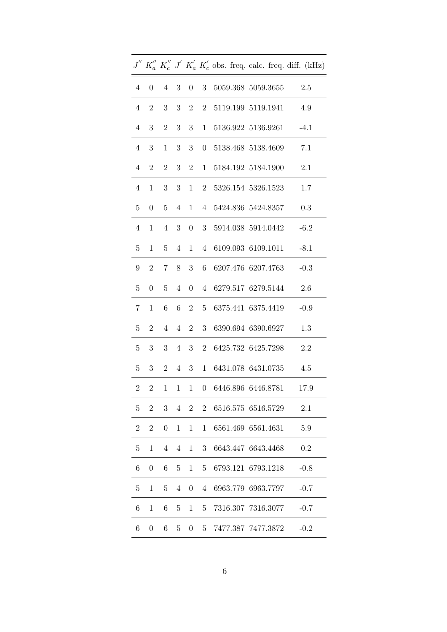|                 |                  |                             |                      |                  |                |  |                                                    |  | $J''$ $K''_a$ $K''_c$ $J'$ $K'_a$ $K'_c$ obs. freq. calc. freq. diff. (kHz) |
|-----------------|------------------|-----------------------------|----------------------|------------------|----------------|--|----------------------------------------------------|--|-----------------------------------------------------------------------------|
| $\overline{4}$  | $\overline{0}$   | $4 \quad 3 \quad 0 \quad 3$ |                      |                  |                |  | 5059.368 5059.3655 2.5                             |  |                                                                             |
| $\overline{4}$  | 2                | 3 <sup>1</sup>              | 3 <sup>1</sup>       | $\overline{2}$   | $\overline{2}$ |  | 5119.199 5119.1941                                 |  | 4.9                                                                         |
| $\overline{4}$  | 3                | $\overline{2}$              |                      | $3\quad 3$       | $\mathbf{1}$   |  | 5136.922 5136.9261                                 |  | $-4.1$                                                                      |
| $\overline{4}$  | $\sqrt{3}$       | $\mathbf{1}$                |                      | $3 \quad 3$      |                |  | 0 5138.468 5138.4609                               |  | 7.1                                                                         |
| 4               | $\overline{2}$   | $\overline{2}$              |                      |                  |                |  | $3 \quad 2 \quad 1 \quad 5184.192 \quad 5184.1900$ |  | 2.1                                                                         |
| $\overline{4}$  | $\mathbf 1$      | 3 <sup>1</sup>              | 3 <sup>1</sup>       |                  |                |  | $1 \quad 2 \quad 5326.154 \quad 5326.1523$         |  | 1.7                                                                         |
| $5\overline{)}$ | $\boldsymbol{0}$ | 5 <sup>5</sup>              |                      |                  |                |  | 4 1 4 5424.836 5424.8357                           |  | 0.3                                                                         |
| $\overline{4}$  | 1                | $\overline{4}$              |                      | $3 \quad 0$      |                |  | 3 5914.038 5914.0442 -6.2                          |  |                                                                             |
| 5 <sup>5</sup>  | 1                | $\overline{5}$              |                      |                  |                |  | 4 1 4 6109.093 6109.1011                           |  | $-8.1$                                                                      |
| 9               |                  | 2 7 8 3                     |                      |                  |                |  | 6 6207.476 6207.4763                               |  | $-0.3$                                                                      |
| 5               | $\boldsymbol{0}$ | 5 <sup>5</sup>              |                      |                  |                |  | 4 0 4 6279.517 6279.5144                           |  | 2.6                                                                         |
| 7               | 1                | 6                           |                      | 6 2              | 5 <sup>5</sup> |  | 6375.441 6375.4419                                 |  | $-0.9$                                                                      |
| $5\phantom{.0}$ | $\overline{2}$   | $\overline{4}$              | $4\phantom{.0000}\,$ | $\overline{2}$   | 3 <sup>1</sup> |  | 6390.694 6390.6927                                 |  | 1.3                                                                         |
| 5 <sup>5</sup>  |                  | $3 \quad 3$                 |                      |                  |                |  | 4 3 2 6425.732 6425.7298                           |  | 2.2                                                                         |
| 5 <sup>5</sup>  | 3 <sup>1</sup>   | 2 <sup>1</sup>              |                      |                  |                |  | 4 3 1 6431.078 6431.0735                           |  | 4.5                                                                         |
| $\overline{2}$  | $\overline{2}$   | $\mathbf{1}$                | $\mathbf{1}$         |                  |                |  | 1 0 6446.896 6446.8781                             |  | 17.9                                                                        |
| 5               | $\boldsymbol{2}$ | $\sqrt{3}$                  | $\overline{4}$       | $\overline{2}$   | $\overline{2}$ |  | 6516.575 6516.5729                                 |  | 2.1                                                                         |
| $\overline{2}$  | $\overline{2}$   | $\boldsymbol{0}$            | 1                    | 1                | 1              |  | 6561.469 6561.4631                                 |  | 5.9                                                                         |
| 5               | $\mathbf{1}$     | $\overline{4}$              | $\overline{4}$       | $\mathbf{1}$     | 3              |  | 6643.447 6643.4468                                 |  | 0.2                                                                         |
| $\,6$           | $\boldsymbol{0}$ | $\,6$                       | 5                    | $\mathbf{1}$     | 5 <sup>5</sup> |  | 6793.121 6793.1218                                 |  | $-0.8$                                                                      |
| $\overline{5}$  | $\mathbf{1}$     | $\overline{5}$              | $\overline{4}$       | $\boldsymbol{0}$ | 4              |  | 6963.779 6963.7797                                 |  | $-0.7$                                                                      |
| 6               | 1                | 6                           | 5                    | $\mathbf 1$      | 5              |  | 7316.307 7316.3077                                 |  | $-0.7$                                                                      |
| 6               | $\boldsymbol{0}$ | 6                           | 5                    | $\boldsymbol{0}$ | 5 <sup>5</sup> |  | 7477.387 7477.3872                                 |  | $-0.2$                                                                      |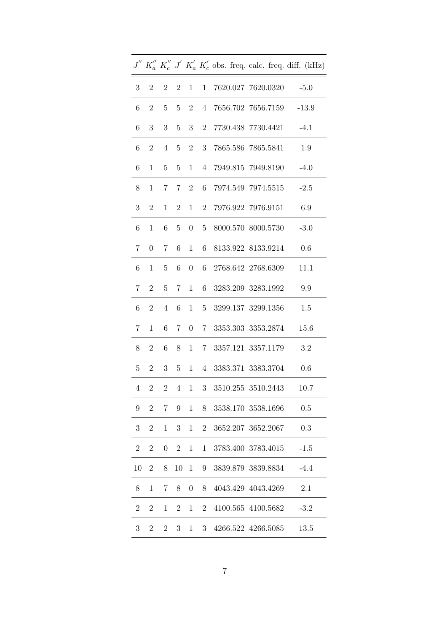|                |                  |                           |                |                          |                |  |                            |  | $J^{''}\ K_{a}^{''}\ K_{c}^{''}\ J^{'}\ K_{a}^{'}\ K_{c}^{'}$ obs. freq. calc. freq. diff. (kHz) |
|----------------|------------------|---------------------------|----------------|--------------------------|----------------|--|----------------------------|--|--------------------------------------------------------------------------------------------------|
| 3 <sup>1</sup> |                  | $2 \t2 \t2 \t1 \t1$       |                |                          |                |  | 7620.027 7620.0320 -5.0    |  |                                                                                                  |
| 6              | $\boldsymbol{2}$ | 5 <sup>5</sup>            |                | $5\quad 2$               | $\overline{4}$ |  | 7656.702 7656.7159         |  | $-13.9$                                                                                          |
| 6              | $\sqrt{3}$       | $\sqrt{3}$                |                | $5\quad 3$               | $\overline{2}$ |  | 7730.438 7730.4421         |  | $-4.1$                                                                                           |
| 6              | $\sqrt{2}$       | $\overline{4}$            |                | $5\quad 2$               | 3 <sup>1</sup> |  | 7865.586 7865.5841         |  | 1.9                                                                                              |
| 6              | $\mathbf{1}$     | $\overline{5}$            |                |                          |                |  | 5 1 4 7949.815 7949.8190   |  | $-4.0$                                                                                           |
| 8              | $\mathbf{1}$     | $7\degree$                |                | $7\quad 2\quad 6$        |                |  |                            |  | $-2.5$                                                                                           |
| 3              | $\sqrt{2}$       | $\mathbf{1}$              | $\overline{2}$ | 1                        | $\mathbf{2}$   |  | 7976.922 7976.9151         |  | 6.9                                                                                              |
| $\,6\,$        | $\mathbf{1}$     | $\!6\,$                   | $\overline{5}$ |                          | $0\quad 5$     |  | 8000.570 8000.5730 -3.0    |  |                                                                                                  |
| $\overline{7}$ | $\boldsymbol{0}$ | $\overline{7}$            |                |                          |                |  | 6 1 6 8133.922 8133.9214   |  | 0.6                                                                                              |
| $6\,$          | $\mathbf{1}$     | $-5$                      |                |                          |                |  | 6 0 6 2768.642 2768.6309   |  | 11.1                                                                                             |
| $7\phantom{.}$ | $2^{\circ}$      | $\bf 5$                   |                |                          |                |  | 7 1 6 3283.209 3283.1992   |  | 9.9                                                                                              |
| $\,6\,$        | $\sqrt{2}$       | $\overline{4}$            | 6              |                          |                |  | 1 5 3299.137 3299.1356     |  | 1.5                                                                                              |
| $\overline{7}$ | $\mathbf{1}$     | 6                         |                | $7\quad 0$               |                |  | 7 3353.303 3353.2874       |  | 15.6                                                                                             |
| 8              | $\overline{2}$   | $\,6\,$                   | 8              |                          |                |  | 1 7 3357.121 3357.1179 3.2 |  |                                                                                                  |
| 5 <sup>5</sup> | 2                |                           |                | $3\quad 5\quad 1\quad 4$ |                |  | 3383.371 3383.3704         |  | 0.6                                                                                              |
| $\overline{4}$ | $\overline{2}$   | $\overline{\phantom{a}2}$ |                |                          |                |  | 4 1 3 3510.255 3510.2443   |  | 10.7                                                                                             |
| 9              | $\overline{2}$   | $\overline{7}$            | 9              | $\mathbf{1}$             | 8              |  | 3538.170 3538.1696         |  | 0.5                                                                                              |
| 3              | $\overline{2}$   | 1                         | 3 <sup>1</sup> | $\mathbf 1$              | $\overline{2}$ |  | 3652.207 3652.2067         |  | 0.3                                                                                              |
| $\overline{2}$ | $\overline{2}$   | $\boldsymbol{0}$          | $\overline{2}$ | 1                        | $\mathbf{1}$   |  | 3783.400 3783.4015         |  | $-1.5$                                                                                           |
| 10             | $\overline{2}$   | 8                         | 10             | 1                        | 9              |  | 3839.879 3839.8834         |  | $-4.4$                                                                                           |
| 8              | $\mathbf 1$      | 7                         | 8              | $\boldsymbol{0}$         | 8              |  | 4043.429 4043.4269         |  | 2.1                                                                                              |
| $\overline{2}$ | $\overline{2}$   | 1                         | $\overline{2}$ | $\mathbf{1}$             | $\overline{2}$ |  | 4100.565 4100.5682         |  | $-3.2$                                                                                           |
| 3              | $\overline{2}$   | $\overline{2}$            | 3              | 1                        | 3              |  | 4266.522 4266.5085         |  | 13.5                                                                                             |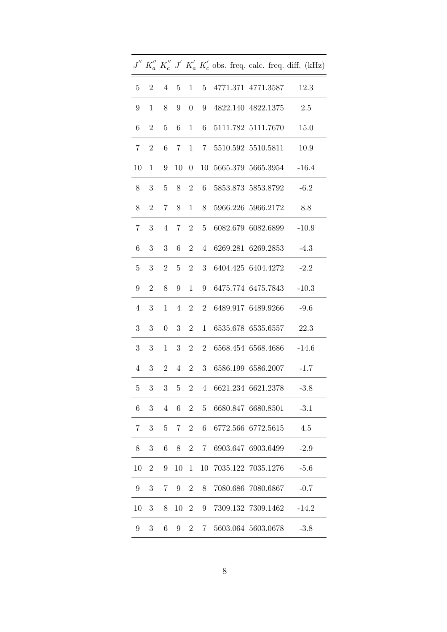|                |                |                  |                 |                  |                |                        |                    |  | $J''$ $K''_a$ $K''_c$ $J'$ $K'_a$ $K'_c$ obs. freq. calc. freq. diff. (kHz) |
|----------------|----------------|------------------|-----------------|------------------|----------------|------------------------|--------------------|--|-----------------------------------------------------------------------------|
| 5              | $\overline{2}$ | $\overline{4}$   | 5               | $\mathbf{1}$     | $\overline{5}$ |                        | 4771.371 4771.3587 |  | 12.3                                                                        |
| 9              | $\mathbf{1}$   | 8                | 9               | $\boldsymbol{0}$ | 9              |                        | 4822.140 4822.1375 |  | 2.5                                                                         |
|                |                |                  |                 |                  |                |                        |                    |  |                                                                             |
| 6              | $\overline{2}$ | $\overline{5}$   | 6               | $\mathbf{1}$     | 6              |                        | 5111.782 5111.7670 |  | 15.0                                                                        |
| 7              | $\overline{2}$ | 6                | $7\overline{ }$ | 1                | 7 <sup>7</sup> |                        | 5510.592 5510.5811 |  | 10.9                                                                        |
| 10             | 1              | 9                | 10              | $\boldsymbol{0}$ |                | 10 5665.379 5665.3954  |                    |  | $-16.4$                                                                     |
| 8              | 3              | $\overline{5}$   | 8               | $\overline{2}$   | 6              |                        | 5853.873 5853.8792 |  | $-6.2$                                                                      |
| $8\,$          | $\mathbf{2}$   | 7                | 8               | $\mathbf{1}$     | 8              |                        | 5966.226 5966.2172 |  | 8.8                                                                         |
| 7              | 3              | $\overline{4}$   | $\overline{7}$  | $\overline{2}$   | $\overline{5}$ |                        | 6082.679 6082.6899 |  | $-10.9$                                                                     |
| 6              | 3              | 3                | 6               | $\overline{2}$   | $\overline{4}$ |                        | 6269.281 6269.2853 |  | $-4.3$                                                                      |
| $\overline{5}$ | 3              | $\overline{2}$   | 5               | $\overline{2}$   | 3              |                        | 6404.425 6404.4272 |  | $-2.2$                                                                      |
| 9              | $\overline{2}$ | 8                | 9               | $\mathbf{1}$     | 9              |                        | 6475.774 6475.7843 |  | $-10.3$                                                                     |
| $\overline{4}$ | 3              | $\mathbf{1}$     | $\overline{4}$  | $\overline{2}$   | $\overline{2}$ |                        | 6489.917 6489.9266 |  | $-9.6$                                                                      |
| 3              | 3              | $\boldsymbol{0}$ | 3               | $\overline{2}$   | $\mathbf{1}$   |                        | 6535.678 6535.6557 |  | 22.3                                                                        |
| 3              | 3              | $\mathbf{1}$     | 3               | $\overline{2}$   | $\overline{2}$ |                        | 6568.454 6568.4686 |  | $-14.6$                                                                     |
| $\overline{4}$ | 3              | $\overline{2}$   | $\overline{4}$  | $\overline{2}$   | 3              |                        | 6586.199 6586.2007 |  | $-1.7$                                                                      |
| 5              | 3              | $\overline{3}$   | 5 <sup>5</sup>  |                  |                | 2 4 6621.234 6621.2378 |                    |  | $-3.8$                                                                      |
| 6              | 3              | $\overline{4}$   | 6               | $\overline{2}$   | $\overline{5}$ |                        | 6680.847 6680.8501 |  | $-3.1$                                                                      |
| 7              | $\sqrt{3}$     | $\overline{5}$   | 7               | $\overline{2}$   | $\,6$          |                        | 6772.566 6772.5615 |  | 4.5                                                                         |
| 8              | 3              | 6                | 8               | $\overline{2}$   | $7\phantom{.}$ |                        | 6903.647 6903.6499 |  | $-2.9$                                                                      |
| 10             | $\overline{2}$ | 9                | 10              | $\mathbf{1}$     | 10             |                        | 7035.122 7035.1276 |  | $-5.6$                                                                      |
| 9              | 3              | 7                | 9               | $\overline{2}$   | 8              |                        | 7080.686 7080.6867 |  | $-0.7$                                                                      |
| 10             | $\sqrt{3}$     | 8                | 10              | $\overline{2}$   | 9              |                        | 7309.132 7309.1462 |  | $-14.2$                                                                     |
| 9              | $\sqrt{3}$     | 6                | 9               | $\overline{2}$   | $7^{\circ}$    |                        | 5603.064 5603.0678 |  | $-3.8$                                                                      |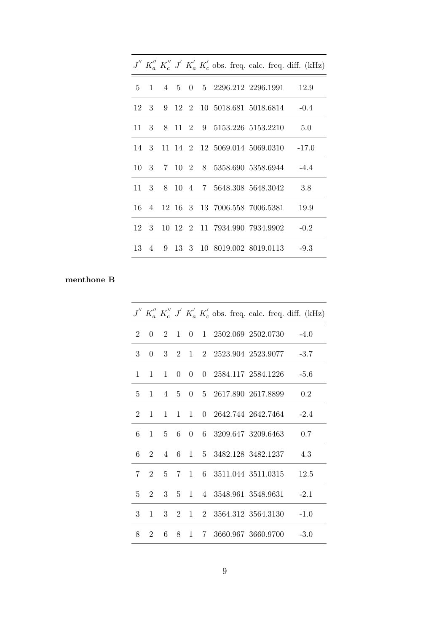|  |  |  |  |                                    | $J''$ $K''_a$ $K''_c$ $J'$ $K'_a$ $K'_c$ obs. freq. calc. freq. diff. (kHz) |
|--|--|--|--|------------------------------------|-----------------------------------------------------------------------------|
|  |  |  |  |                                    | 5 1 4 5 0 5 2296.212 2296.1991 12.9                                         |
|  |  |  |  |                                    | 12 3 9 12 2 10 5018.681 5018.6814 -0.4                                      |
|  |  |  |  |                                    | 11 3 8 11 2 9 5153.226 5153.2210 5.0                                        |
|  |  |  |  |                                    | 14 3 11 14 2 12 5069.014 5069.0310 -17.0                                    |
|  |  |  |  |                                    | 10 3 7 10 2 8 5358.690 5358.6944 -4.4                                       |
|  |  |  |  |                                    | 11 3 8 10 4 7 5648.308 5648.3042 3.8                                        |
|  |  |  |  | 16 4 12 16 3 13 7006.558 7006.5381 | 19.9                                                                        |
|  |  |  |  |                                    | 12 3 10 12 2 11 7934.990 7934.9902 -0.2                                     |
|  |  |  |  |                                    | 13 4 9 13 3 10 8019.002 8019.0113 -9.3                                      |

# menthone B

|                             |                             |                |              |                |  |                      |                                                        |        | $J''$ $K''_a$ $K''_c$ $J'$ $K'_a$ $K'_c$ obs. freq. calc. freq. diff. (kHz) |
|-----------------------------|-----------------------------|----------------|--------------|----------------|--|----------------------|--------------------------------------------------------|--------|-----------------------------------------------------------------------------|
| $\mathcal{D}_{\mathcal{L}}$ | $\Omega$                    | $2^{\circ}$    | $\mathbf{1}$ | 0              |  |                      | 1 2502.069 2502.0730                                   | $-4.0$ |                                                                             |
| 3                           | $\Omega$                    | $3 -$          | 2            |                |  |                      | $1 \quad 2 \quad 2523.904 \quad 2523.9077 \qquad -3.7$ |        |                                                                             |
| $\mathbf{1}$                | $\mathbf{1}$                | $\mathbf{1}$   | $\Omega$     | $\overline{0}$ |  |                      | 0 2584.117 2584.1226 -5.6                              |        |                                                                             |
| 5                           | $\mathbf{1}$                | $4\quad 5$     |              | $\Omega$       |  | 5 2617.890 2617.8899 |                                                        |        | 0.2                                                                         |
| 2                           | 1                           | $\mathbf{1}$   | $\mathbf{1}$ | $\mathbf{1}$   |  |                      | $0\quad 2642.744\quad 2642.7464 \qquad -2.4$           |        |                                                                             |
| 6                           | 1                           | $\overline{5}$ | 6            |                |  |                      | 0 6 3209.647 3209.6463                                 |        | 0.7                                                                         |
| 6                           | $\mathcal{D}$               | $4\quad 6$     |              |                |  |                      | 1 5 3482.128 3482.1237                                 |        | 4.3                                                                         |
| 7                           | $\mathcal{D}_{\mathcal{L}}$ | $5 -$          | $7^{\circ}$  |                |  |                      | 1 6 3511.044 3511.0315                                 |        | 12.5                                                                        |
| 5                           | 2                           | $3 -$          | 5.           |                |  |                      | 1 4 3548.961 3548.9631 -2.1                            |        |                                                                             |
| 3                           | $\mathbf{1}$                | $\mathbf{3}$   | 2            |                |  |                      | 1 2 3564.312 3564.3130                                 |        | $-1.0$                                                                      |
| 8                           | 2                           | 6              | 8            |                |  |                      | 1 7 3660.967 3660.9700                                 |        | $-3.0$                                                                      |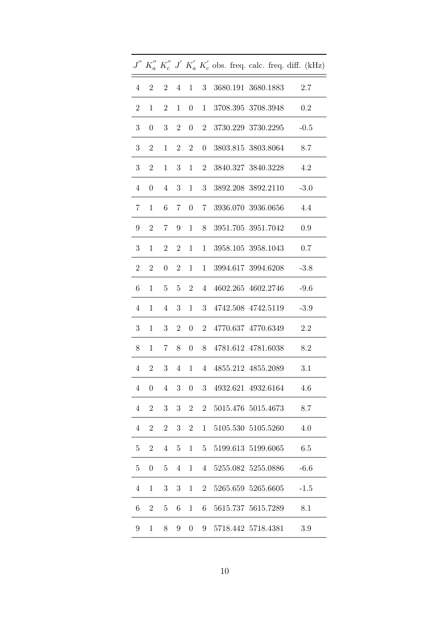|                                |                  |                  |                |                     |                 |  |                            |  | $J^{''}\ K_{a}^{''}\ K_{c}^{''}\ J^{'}\ K_{a}^{'}\ K_{c}^{'}$ obs. freq. calc. freq. diff. (kHz) |
|--------------------------------|------------------|------------------|----------------|---------------------|-----------------|--|----------------------------|--|--------------------------------------------------------------------------------------------------|
| $\overline{4}$                 |                  | 2 2              |                | $4 \quad 1 \quad 3$ |                 |  | 3680.191 3680.1883 2.7     |  |                                                                                                  |
| $\overline{2}$                 | $\mathbf{1}$     | $\boldsymbol{2}$ |                | $1 \quad 0$         | 1               |  | 3708.395 3708.3948         |  | 0.2                                                                                              |
| 3                              | $\boldsymbol{0}$ | 3                | $\overline{2}$ | $\overline{0}$      | $\overline{2}$  |  | 3730.229 3730.2295         |  | $-0.5$                                                                                           |
| 3                              | $\boldsymbol{2}$ | 1                |                | $2\quad 2$          | $\overline{0}$  |  | 3803.815 3803.8064         |  | 8.7                                                                                              |
| 3 <sup>1</sup>                 | $\overline{2}$   | 1                |                |                     |                 |  | 3 1 2 3840.327 3840.3228   |  | 4.2                                                                                              |
| $\overline{4}$                 | $\boldsymbol{0}$ |                  |                |                     |                 |  | 4 3 1 3 3892.208 3892.2110 |  | $-3.0$                                                                                           |
| 7                              | 1                | $\,6$            |                | 7 0 7               |                 |  | 3936.070 3936.0656         |  | 4.4                                                                                              |
| 9                              | $\sqrt{2}$       | $\overline{7}$   |                | 9 1                 | 8               |  | 3951.705 3951.7042         |  | 0.9                                                                                              |
| 3                              | $\mathbf 1$      | $\sqrt{2}$       |                |                     |                 |  | 2 1 1 3958.105 3958.1043   |  | 0.7                                                                                              |
| $\overline{2}$                 | $\mathbf{2}$     | $\boldsymbol{0}$ |                | 2 1                 |                 |  | 1 3994.617 3994.6208       |  | $-3.8$                                                                                           |
| 6                              | $\mathbf{1}$     | 5 <sup>5</sup>   |                | $5\quad 2$          | $4\overline{ }$ |  | 4602.265 4602.2746         |  | $-9.6$                                                                                           |
| $\overline{4}$                 | $\mathbf{1}$     | $\overline{4}$   | 3 <sup>1</sup> |                     |                 |  | 1 3 4742.508 4742.5119     |  | $-3.9$                                                                                           |
| 3                              | $\mathbf{1}$     | 3                |                | $2 \quad 0$         |                 |  | 2 4770.637 4770.6349       |  | 2.2                                                                                              |
| 8                              | $\mathbf{1}$     |                  |                |                     |                 |  | 7 8 0 8 4781.612 4781.6038 |  | 8.2                                                                                              |
| $4\phantom{.0000}\phantom{.0}$ | 2                | 3 <sup>1</sup>   |                |                     |                 |  | 4 1 4 4855.212 4855.2089   |  | 3.1                                                                                              |
| $\overline{4}$                 | $\boldsymbol{0}$ | $\overline{4}$   |                |                     |                 |  | 3 0 3 4932.621 4932.6164   |  | 4.6                                                                                              |
| $\overline{4}$                 | $\overline{2}$   | 3                | 3              | $\overline{2}$      | $\overline{2}$  |  | 5015.476 5015.4673         |  | 8.7                                                                                              |
| 4                              | $\overline{2}$   | $\overline{2}$   | 3              | $\overline{2}$      | 1               |  | 5105.530 5105.5260         |  | 4.0                                                                                              |
| $\overline{5}$                 | $\overline{2}$   | $\overline{4}$   | 5              | $\mathbf{1}$        | 5 <sup>5</sup>  |  | 5199.613 5199.6065         |  | 6.5                                                                                              |
| $\overline{5}$                 | $\boldsymbol{0}$ | $\overline{5}$   | $\overline{4}$ | $\mathbf{1}$        | $\overline{4}$  |  | 5255.082 5255.0886         |  | $-6.6$                                                                                           |
| $\overline{4}$                 | 1                | $\boldsymbol{3}$ | 3              | $\mathbf{1}$        | $\overline{2}$  |  | 5265.659 5265.6605         |  | $-1.5$                                                                                           |
| 6                              | $\overline{2}$   | $\overline{5}$   | 6              | 1                   | 6               |  | 5615.737 5615.7289         |  | 8.1                                                                                              |
| 9                              | $\mathbf{1}$     | 8                | 9              | $\boldsymbol{0}$    | 9               |  | 5718.442 5718.4381         |  | 3.9                                                                                              |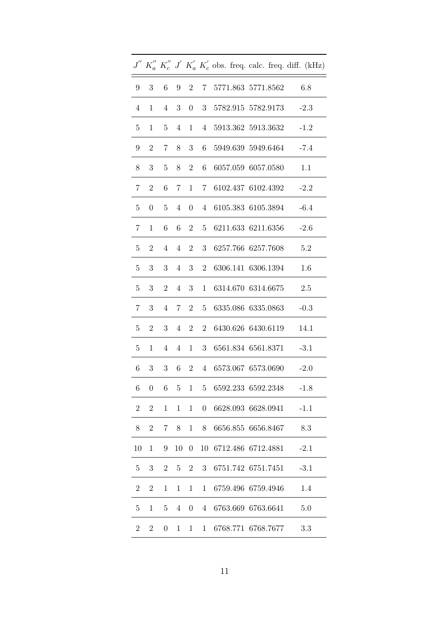|                  |                  |                  |                |                  |                  |                      |  | $J'' K''_a K''_c J' K'_a K'_c$ obs. freq. calc. freq. diff. (kHz) |
|------------------|------------------|------------------|----------------|------------------|------------------|----------------------|--|-------------------------------------------------------------------|
| 9                | 3                | 6                | 9              | $\overline{2}$   |                  | 7 5771.863 5771.8562 |  | 6.8                                                               |
| $\overline{4}$   | $\mathbf{1}$     | $\overline{4}$   | 3              | $\overline{0}$   |                  | 3 5782.915 5782.9173 |  | $-2.3$                                                            |
| $\overline{5}$   | 1                | $5\overline{)}$  | $\overline{4}$ | 1                |                  | 4 5913.362 5913.3632 |  | $-1.2$                                                            |
| 9                | $\overline{2}$   | $7^{\circ}$      | 8              | 3 <sup>1</sup>   | 6                | 5949.639 5949.6464   |  | $-7.4$                                                            |
| 8                | 3                | $\overline{5}$   | 8              | $\overline{2}$   | 6                | 6057.059 6057.0580   |  | 1.1                                                               |
| $7\phantom{.}$   | $\overline{2}$   | 6                | 7              | 1                |                  | 7 6102.437 6102.4392 |  | $-2.2$                                                            |
| 5                | $\theta$         | 5 <sup>5</sup>   | $\overline{4}$ | $\overline{0}$   | $\overline{4}$   | 6105.383 6105.3894   |  | $-6.4$                                                            |
| 7                | 1                | 6                | $\,6\,$        | 2 <sup>1</sup>   | $5\overline{)}$  | 6211.633 6211.6356   |  | $-2.6$                                                            |
| $\overline{5}$   | $\overline{2}$   | $\overline{4}$   | $\overline{4}$ | $2^{\circ}$      | 3                | 6257.766 6257.7608   |  | 5.2                                                               |
| 5                | $\sqrt{3}$       | 3                | $\overline{4}$ | 3                | $\overline{2}$   | 6306.141 6306.1394   |  | 1.6                                                               |
| 5                | 3                | $\overline{2}$   | $\overline{4}$ | 3 <sup>1</sup>   | $\mathbf{1}$     | 6314.670 6314.6675   |  | 2.5                                                               |
| $\overline{7}$   | 3                | $\overline{4}$   | $\overline{7}$ | $2^{\circ}$      | $5\overline{)}$  | 6335.086 6335.0863   |  | $-0.3$                                                            |
| $\overline{5}$   | $\overline{2}$   | 3 <sup>1</sup>   | $\overline{4}$ | 2 <sup>1</sup>   | $\overline{2}$   | 6430.626 6430.6119   |  | 14.1                                                              |
| $\overline{5}$   | 1                | 4                | $\overline{4}$ | $\mathbf{1}$     | 3                | 6561.834 6561.8371   |  | $-3.1$                                                            |
| 6                | 3                | 3                | 6              | $\overline{2}$   | $\overline{4}$   | 6573.067 6573.0690   |  | $-2.0$                                                            |
| $\!6\,$          | $\boldsymbol{0}$ | 6                | $\bf 5$        | 1                | $\overline{5}$   | 6592.233 6592.2348   |  | $-1.8$                                                            |
| $\boldsymbol{2}$ | $\boldsymbol{2}$ | 1                | $\mathbf{1}$   | $\mathbf{1}$     | $\boldsymbol{0}$ | 6628.093 6628.0941   |  | $-1.1$                                                            |
| 8                | $\mathbf{2}$     | 7                | 8              | $\mathbf 1$      | 8                | 6656.855 6656.8467   |  | 8.3                                                               |
| 10               | $\mathbf 1$      | 9                | 10             | $\boldsymbol{0}$ | 10               | 6712.486 6712.4881   |  | $-2.1$                                                            |
| 5                | 3                | $\overline{2}$   | 5              | $\overline{2}$   | 3                | 6751.742 6751.7451   |  | $-3.1$                                                            |
| $\boldsymbol{2}$ | $\sqrt{2}$       | $\mathbf 1$      | $\mathbf{1}$   | $\mathbf 1$      | $\mathbf{1}$     | 6759.496 6759.4946   |  | 1.4                                                               |
| $\overline{5}$   | $\mathbf{1}$     | 5                | $\overline{4}$ | $\boldsymbol{0}$ | 4                | 6763.669 6763.6641   |  | 5.0                                                               |
| $\overline{2}$   | $\boldsymbol{2}$ | $\boldsymbol{0}$ | $\mathbf 1$    | 1                | $\mathbf{1}$     | 6768.771 6768.7677   |  | 3.3                                                               |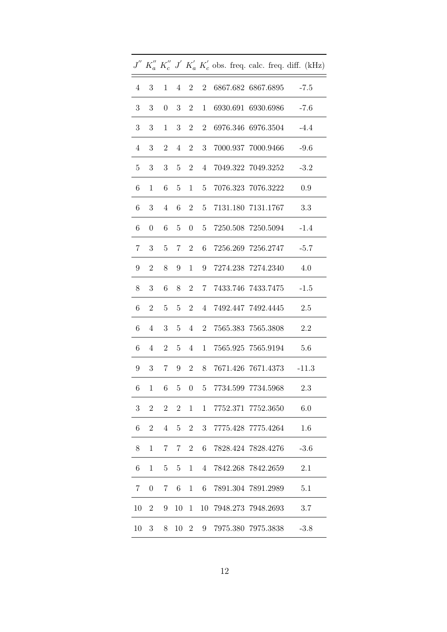|                |                  |                      |                |                   |                |  |                                                                 |  | $J^{''}\ K_{a}^{''}\ K_{c}^{''}\ J^{'}\ K_{a}^{'}\ K_{c}^{'}$ obs. freq. calc. freq. diff. (kHz) |
|----------------|------------------|----------------------|----------------|-------------------|----------------|--|-----------------------------------------------------------------|--|--------------------------------------------------------------------------------------------------|
| $\overline{4}$ | 3                | $\mathbf{1}$         |                | $4\quad 2\quad 2$ |                |  | 6867.682 6867.6895 -7.5                                         |  |                                                                                                  |
| 3 <sup>1</sup> | $\sqrt{3}$       | $\boldsymbol{0}$     | 3 <sup>1</sup> | $2^{\circ}$       | $\mathbf{1}$   |  | 6930.691 6930.6986                                              |  | $-7.6$                                                                                           |
| 3              | 3                | $\mathbf{1}$         | 3 <sup>7</sup> | $\overline{2}$    | $\overline{2}$ |  | 6976.346 6976.3504                                              |  | $-4.4$                                                                                           |
| $\overline{4}$ | $\sqrt{3}$       | $\overline{2}$       |                | $4\quad 2$        | 3 <sup>1</sup> |  | 7000.937 7000.9466                                              |  | -9.6                                                                                             |
| 5 <sup>5</sup> | 3                | 3 <sup>1</sup>       |                | $5\quad 2$        |                |  | 4 7049.322 7049.3252 -3.2                                       |  |                                                                                                  |
| 6              | $\mathbf{1}$     | $6\quad$             | 5 <sub>5</sub> | 1                 | 5 <sub>5</sub> |  | 7076.323 7076.3222                                              |  | 0.9                                                                                              |
| 6              | 3                | $4\phantom{.0000}\,$ |                | $6\quad 2$        | 5 <sup>5</sup> |  | 7131.180 7131.1767                                              |  | 3.3                                                                                              |
| 6              | $\boldsymbol{0}$ | 6                    | 5 <sup>5</sup> | $\overline{0}$    | 5 <sup>5</sup> |  | 7250.508 7250.5094 -1.4                                         |  |                                                                                                  |
| $7\,$          | 3                | $\overline{5}$       |                | $7 \quad 2$       |                |  | 6 7256.269 7256.2747                                            |  | $-5.7$                                                                                           |
| 9              | $\mathbf{2}$     | 8                    | 9              | $\mathbf{1}$      |                |  | 9 7274.238 7274.2340                                            |  | 4.0                                                                                              |
| 8              | 3 <sup>1</sup>   | $6\phantom{.}6$      | 8              | 2                 |                |  | 7 7433.746 7433.7475                                            |  | $-1.5$                                                                                           |
| 6              | $\mathbf{2}$     | $\overline{5}$       | 5 <sup>5</sup> | 2 <sup>1</sup>    |                |  | 4 7492.447 7492.4445                                            |  | 2.5                                                                                              |
| 6              | $\overline{4}$   | 3                    | 5 <sup>5</sup> | $\overline{4}$    | $2^{\circ}$    |  | 7565.383 7565.3808                                              |  | 2.2                                                                                              |
| 6              | $\overline{4}$   | $2^{\circ}$          |                |                   |                |  | $5\quad 4\quad 1\quad 7565.925\  \, 7565.9194 \qquad \  \, 5.6$ |  |                                                                                                  |
| 9              |                  | $3 \quad 7$          |                | $9 \quad 2$       | 8              |  | 7671.426 7671.4373                                              |  | $-11.3$                                                                                          |
| 6              | $\mathbf{1}$     | $6\phantom{.0}$      |                |                   |                |  | 5 0 5 7734.599 7734.5968                                        |  | 2.3                                                                                              |
| 3              | $\overline{2}$   | $\overline{2}$       | $\overline{2}$ | 1                 | $\mathbf{1}$   |  | 7752.371 7752.3650                                              |  | 6.0                                                                                              |
| 6              | $\overline{2}$   | 4                    | 5              | $\overline{2}$    | 3              |  | 7775.428 7775.4264                                              |  | 1.6                                                                                              |
| 8              | $\mathbf{1}$     | 7                    | 7              | $\overline{2}$    | 6              |  | 7828.424 7828.4276                                              |  | $-3.6$                                                                                           |
| 6              | $\mathbf{1}$     | $\overline{5}$       | 5              | $\mathbf{1}$      | $\overline{4}$ |  | 7842.268 7842.2659                                              |  | 2.1                                                                                              |
| $\overline{7}$ | $\boldsymbol{0}$ | 7                    | 6              | $\mathbf{1}$      | 6              |  | 7891.304 7891.2989                                              |  | 5.1                                                                                              |
| 10             | $\overline{2}$   | 9                    | 10             | 1                 | 10             |  | 7948.273 7948.2693                                              |  | 3.7                                                                                              |
| 10             | 3                | 8                    | 10             | $\overline{2}$    | 9              |  | 7975.380 7975.3838                                              |  | $-3.8$                                                                                           |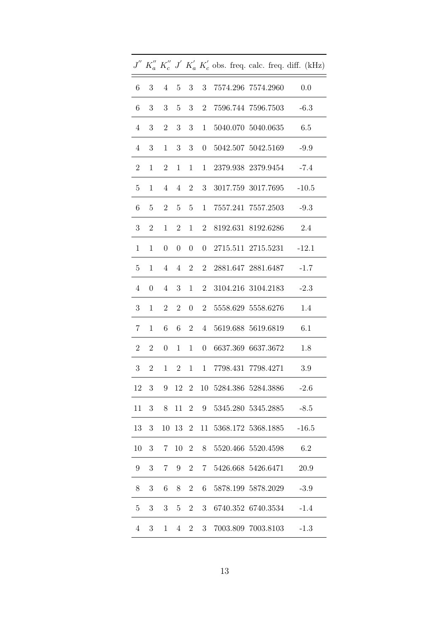|                 |                  |                  |                |                   |                |  |                         |  | $J''$ $K''_a$ $K''_c$ $J'$ $K'_a$ $K'_c$ obs. freq. calc. freq. diff. (kHz) |
|-----------------|------------------|------------------|----------------|-------------------|----------------|--|-------------------------|--|-----------------------------------------------------------------------------|
| $6 -$           | 3 <sup>3</sup>   |                  |                | $4\quad 5\quad 3$ | 3              |  | 7574.296 7574.2960      |  | 0.0                                                                         |
| 6               | $\boldsymbol{3}$ | $\sqrt{3}$       | 5 <sup>5</sup> | 3                 | $\overline{2}$ |  | 7596.744 7596.7503      |  | $-6.3$                                                                      |
| $\overline{4}$  | $\sqrt{3}$       | $\boldsymbol{2}$ | 3 <sup>1</sup> | $\mathbf{3}$      | $\mathbf{1}$   |  | 5040.070 5040.0635      |  | 6.5                                                                         |
| $\overline{4}$  | $\sqrt{3}$       | $\mathbf{1}$     | 3 <sup>1</sup> | $\boldsymbol{3}$  | $\overline{0}$ |  | 5042.507 5042.5169 -9.9 |  |                                                                             |
| $\overline{2}$  | $\mathbf{1}$     | $\overline{2}$   |                | $1 \quad 1$       |                |  | 1 2379.938 2379.9454    |  | $-7.4$                                                                      |
| $5\phantom{.0}$ | $\mathbf{1}$     | $\overline{4}$   |                | $4 \quad 2$       | 3 <sup>1</sup> |  | 3017.759 3017.7695      |  | $-10.5$                                                                     |
| 6               | $\overline{5}$   | $\overline{2}$   | 5 <sup>5</sup> | $\overline{5}$    | $\mathbf{1}$   |  | 7557.241 7557.2503      |  | $-9.3$                                                                      |
| 3               | $\sqrt{2}$       | $\mathbf{1}$     | $\overline{2}$ | 1                 | $\overline{2}$ |  | 8192.631 8192.6286      |  | 2.4                                                                         |
| $\mathbf{1}$    | $\mathbf 1$      | $\boldsymbol{0}$ |                | $0 \quad 0$       |                |  | 0 2715.511 2715.5231    |  | $-12.1$                                                                     |
| 5 <sup>5</sup>  | $\mathbf{1}$     | $4\overline{ }$  |                | $4\quad 2$        | $\overline{2}$ |  | 2881.647 2881.6487      |  | $-1.7$                                                                      |
| $\overline{4}$  | $\boldsymbol{0}$ | $\overline{4}$   | 3 <sup>1</sup> | 1                 | $\overline{2}$ |  | 3104.216 3104.2183      |  | $-2.3$                                                                      |
| 3               | $\mathbf{1}$     | $\overline{2}$   | $\overline{2}$ | $\overline{0}$    | $\overline{2}$ |  | 5558.629 5558.6276      |  | 1.4                                                                         |
| $7\phantom{.}$  | $\mathbf{1}$     | $\,6\,$          | $6\quad$       | $2^{\circ}$       | 4              |  | 5619.688 5619.6819      |  | 6.1                                                                         |
| $\overline{2}$  | $\overline{2}$   | $\boldsymbol{0}$ | 1              | 1                 | $\overline{0}$ |  | 6637.369 6637.3672      |  | 1.8                                                                         |
| 3 <sup>1</sup>  | $\overline{2}$   | 1                | 2 <sup>1</sup> | 1                 | 1              |  | 7798.431 7798.4271      |  | 3.9                                                                         |
| 12              | $\sqrt{3}$       | $9\,$            |                | 12 2              |                |  | 10 5284.386 5284.3886   |  | $-2.6$                                                                      |
| 11              | 3                | 8                |                | 11 2              | 9              |  | 5345.280 5345.2885      |  | $-8.5$                                                                      |
| 13              | 3                |                  |                | 10 13 2           | 11             |  | 5368.172 5368.1885      |  | $-16.5$                                                                     |
| 10              | 3                | 7                | 10             | $\overline{2}$    | 8              |  | 5520.466 5520.4598      |  | 6.2                                                                         |
| 9               | 3                | 7                | 9              | $\overline{2}$    | $7\degree$     |  | 5426.668 5426.6471      |  | 20.9                                                                        |
| 8               | 3                | 6                | 8              | $\overline{2}$    | 6              |  | 5878.199 5878.2029      |  | $-3.9$                                                                      |
| $\overline{5}$  | 3                | 3                | 5              | $\overline{2}$    | 3 <sup>1</sup> |  | 6740.352 6740.3534      |  | $-1.4$                                                                      |
| $\overline{4}$  | 3                | 1                | $\overline{4}$ | $\overline{2}$    | 3 <sup>1</sup> |  | 7003.809 7003.8103      |  | $-1.3$                                                                      |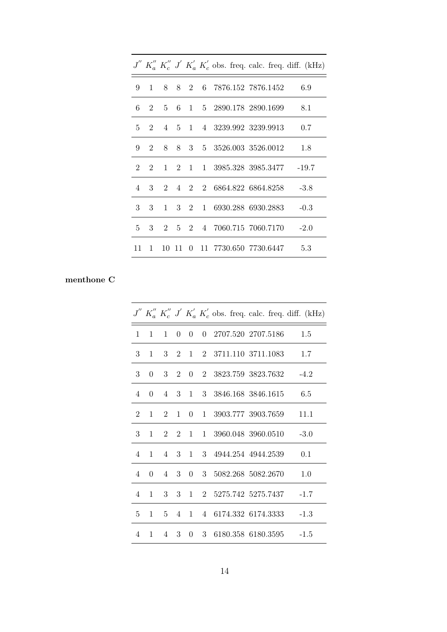|                |              |       |  |  |                                | $J''$ K'' K'' $J'$ K'' K'' K'' obs. freq. calc. freq. diff. (kHz) |
|----------------|--------------|-------|--|--|--------------------------------|-------------------------------------------------------------------|
| 9              |              |       |  |  |                                | 1 8 8 2 6 7876.152 7876.1452 6.9                                  |
| 6              | 2            |       |  |  |                                | 5 6 1 5 2890.178 2890.1699 8.1                                    |
|                |              |       |  |  | 5 2 4 5 1 4 3239.992 3239.9913 | 0.7                                                               |
|                | $9 \quad 2$  |       |  |  |                                | 8 8 3 5 3526.003 3526.0012 1.8                                    |
| $2^{\circ}$    |              |       |  |  |                                | 2 1 2 1 1 3985.328 3985.3477 -19.7                                |
| $\overline{4}$ |              |       |  |  | 3 2 4 2 2 6864.822 6864.8258   | $-3.8$                                                            |
| $\mathcal{R}$  | 3            |       |  |  | 1 3 2 1 6930.288 6930.2883     | $-0.3$                                                            |
| $\mathbf{5}$   | 3            |       |  |  |                                | 2 5 2 4 7060.715 7060.7170 -2.0                                   |
| 11             | $\mathbf{1}$ | 10 11 |  |  |                                | 0 11 7730.650 7730.6447 5.3                                       |

# menthone C

|                |              |              |              |  |  |                            | $J'' K''_a K''_c J' K'_a K'_c$ obs. freq. calc. freq. diff. (kHz) |
|----------------|--------------|--------------|--------------|--|--|----------------------------|-------------------------------------------------------------------|
| $\mathbf{1}$   | $\mathbf{1}$ | $\mathbf{1}$ |              |  |  | 0 0 0 2707.520 2707.5186   | 1.5                                                               |
| 3              | $\mathbf{1}$ |              |              |  |  | 3 2 1 2 3711.110 3711.1083 | 1.7                                                               |
| 3              | $\Omega$     |              |              |  |  | 3 2 0 2 3823.759 3823.7632 | $-4.2$                                                            |
| $\overline{4}$ | $\Omega$     |              |              |  |  | 4 3 1 3 3846.168 3846.1615 | -6.5                                                              |
| $\overline{2}$ | 1            | 2            | $\mathbf{1}$ |  |  | 0 1 3903.777 3903.7659     | 11.1                                                              |
| $3 -$          | $\mathbf{1}$ |              |              |  |  |                            | 2 2 1 1 3960.048 3960.0510 -3.0                                   |
| $\overline{4}$ | $\mathbf{1}$ |              |              |  |  | 4 3 1 3 4944.254 4944.2539 | 0.1                                                               |
| $\overline{4}$ | $\Omega$     |              |              |  |  | 4 3 0 3 5082.268 5082.2670 | 1.0                                                               |
| 4              | $\mathbf{1}$ |              |              |  |  | 3 3 1 2 5275.742 5275.7437 | $-1.7$                                                            |
| $\frac{5}{2}$  | $\mathbf{1}$ |              |              |  |  | 5 4 1 4 6174.332 6174.3333 | $-1.3$                                                            |
| 4              | $1 \quad$    |              |              |  |  |                            | 4 3 0 3 6180.358 6180.3595 -1.5                                   |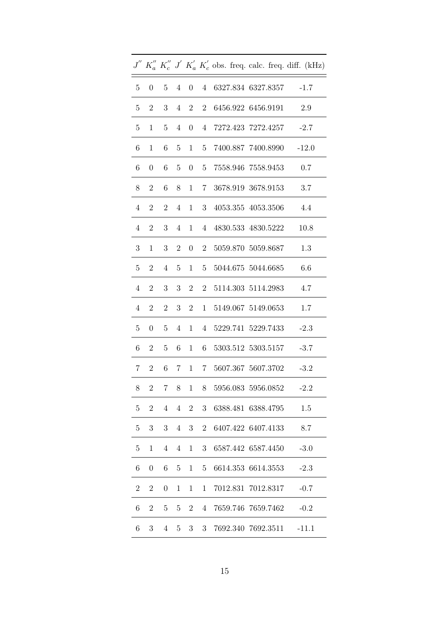|                 |                  |                  |                |                   |                 |  |                    |                            | $J''$ $K''_a$ $K''_c$ $J'$ $K'_a$ $K'_c$ obs. freq. calc. freq. diff. (kHz) |
|-----------------|------------------|------------------|----------------|-------------------|-----------------|--|--------------------|----------------------------|-----------------------------------------------------------------------------|
| $5\phantom{.0}$ | $\boldsymbol{0}$ | $5\degree$       |                | $4\quad 0\quad 4$ |                 |  |                    | 6327.834 6327.8357         | $-1.7$                                                                      |
| $5\phantom{.0}$ | $\overline{2}$   | 3                |                | $4\quad 2$        | $\overline{2}$  |  | 6456.922 6456.9191 |                            | 2.9                                                                         |
| $\overline{5}$  | $\mathbf 1$      | $\overline{5}$   | $\overline{4}$ | $\overline{0}$    | 4               |  |                    | 7272.423 7272.4257         | $-2.7$                                                                      |
| 6               | $\mathbf{1}$     | $\,6$            | 5              | 1                 |                 |  |                    |                            | 5 7400.887 7400.8990 -12.0                                                  |
| 6               | $\boldsymbol{0}$ | $6\degree$       |                |                   |                 |  |                    | 5 0 5 7558.946 7558.9453   | 0.7                                                                         |
| 8               | $\sqrt{2}$       | $6\,$            | 8              |                   |                 |  |                    | 1 7 3678.919 3678.9153     | 3.7                                                                         |
| $\overline{4}$  | $\mathbf{2}$     | $\overline{2}$   | 4              | $\mathbf{1}$      | 3               |  |                    | 4053.355 4053.3506         | 4.4                                                                         |
| $\overline{4}$  | $\overline{2}$   | $\boldsymbol{3}$ | $\overline{4}$ | 1                 | $\overline{4}$  |  |                    | 4830.533 4830.5222         | 10.8                                                                        |
| 3               | $\mathbf{1}$     | 3                | $\overline{2}$ | $\overline{0}$    |                 |  |                    | 2 5059.870 5059.8687       | 1.3                                                                         |
| 5 <sup>5</sup>  | $\overline{2}$   | $\overline{4}$   |                |                   |                 |  |                    | 5 1 5 5044.675 5044.6685   | 6.6                                                                         |
| $\overline{4}$  | $\sqrt{2}$       | 3                | 3              | $\overline{2}$    | 2               |  |                    | 5114.303 5114.2983         | 4.7                                                                         |
| $\overline{4}$  | $\overline{2}$   | $\sqrt{2}$       | 3 <sup>1</sup> | $\overline{2}$    | 1               |  |                    | 5149.067 5149.0653         | 1.7                                                                         |
| $\overline{5}$  | $\boldsymbol{0}$ | $\bf 5$          | $\overline{4}$ |                   |                 |  |                    | 1 4 5229.741 5229.7433     | $-2.3$                                                                      |
| 6               | $\overline{2}$   | $\bf 5$          |                |                   |                 |  |                    | 6 1 6 5303.512 5303.5157   | $-3.7$                                                                      |
| $7 -$           | $\overline{2}$   |                  |                |                   |                 |  |                    | 6 7 1 7 5607.367 5607.3702 | $-3.2$                                                                      |
| 8               | $\boldsymbol{2}$ | $\overline{7}$   |                |                   |                 |  |                    | 8 1 8 5956.083 5956.0852   | $-2.2$                                                                      |
| $\overline{5}$  | $\overline{2}$   | $\overline{4}$   | $\overline{4}$ | $\overline{2}$    | $3\phantom{.0}$ |  |                    | 6388.481 6388.4795         | 1.5                                                                         |
| $\overline{5}$  | 3                | 3                | $\overline{4}$ | 3                 | 2               |  | 6407.422 6407.4133 |                            | 8.7                                                                         |
| $\bf 5$         | $\mathbf{1}$     | $\overline{4}$   | $\overline{4}$ | $\mathbf{1}$      | 3               |  | 6587.442 6587.4450 |                            | $-3.0$                                                                      |
| 6               | $\boldsymbol{0}$ | $\,6\,$          | 5              | $\mathbf{1}$      | $\overline{5}$  |  |                    | 6614.353 6614.3553         | $-2.3$                                                                      |
| $\overline{2}$  | $\overline{2}$   | $\boldsymbol{0}$ | $\mathbf 1$    | $\mathbf 1$       | 1               |  |                    | 7012.831 7012.8317         | $-0.7$                                                                      |
| 6               | $\overline{2}$   | $\overline{5}$   | 5              | $\overline{2}$    | 4               |  |                    | 7659.746 7659.7462         | $-0.2$                                                                      |
| 6               | 3                | $\overline{4}$   | 5              | 3                 | 3 <sup>1</sup>  |  | 7692.340 7692.3511 |                            | $-11.1$                                                                     |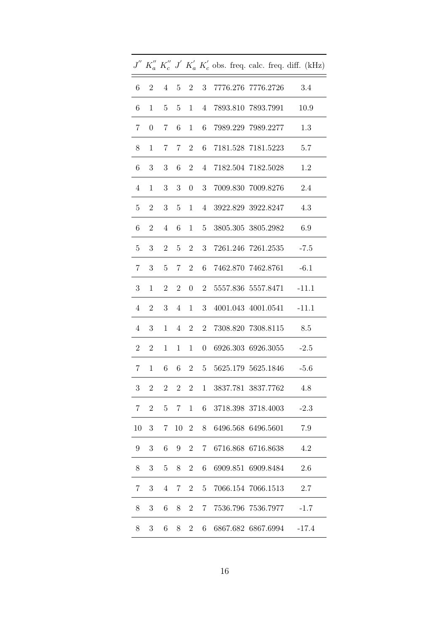|                  |                  |                           |                      |                   |                |          |                              |           | $J^{''}\ K_{a}^{''}\ K_{c}^{''}\ J^{'}\ K_{a}^{'}\ K_{c}^{'}$ obs. freq. calc. freq. diff. (kHz) |
|------------------|------------------|---------------------------|----------------------|-------------------|----------------|----------|------------------------------|-----------|--------------------------------------------------------------------------------------------------|
| $6\,$            | $\overline{2}$   | $\overline{4}$            |                      |                   |                |          | 5 2 3 7776.276 7776.2726 3.4 |           |                                                                                                  |
| 6                | $\mathbf 1$      | 5 <sup>5</sup>            | 5 <sup>5</sup>       | 1                 |                |          | 4 7893.810 7893.7991         |           | 10.9                                                                                             |
| 7                | $\boldsymbol{0}$ | 7                         | 6                    | $\mathbf{1}$      | 6 <sup>1</sup> |          | 7989.229 7989.2277           |           | 1.3                                                                                              |
| 8                | $\mathbf{1}$     | $7\degree$                |                      | $7\quad 2$        | 6              |          | 7181.528 7181.5223           |           | 5.7                                                                                              |
| 6                | 3                | 3                         |                      | 6 2               |                |          | 4 7182.504 7182.5028         |           | 1.2                                                                                              |
| $\overline{4}$   | $\mathbf{1}$     | 3 <sup>1</sup>            |                      | $3\quad 0\quad 3$ |                |          | 7009.830 7009.8276           |           | 2.4                                                                                              |
| $\overline{5}$   | $\overline{2}$   | 3                         | 5 <sup>5</sup>       | 1                 | 4              |          | 3922.829 3922.8247           |           | 4.3                                                                                              |
| $\,6\,$          | $\overline{2}$   | $\overline{4}$            | 6                    |                   | $1\quad 5$     |          | 3805.305 3805.2982           |           | 6.9                                                                                              |
| $\overline{5}$   | 3                | $\overline{2}$            | 5 <sup>5</sup>       | $\overline{2}$    |                |          | 3 7261.246 7261.2535         |           | $-7.5$                                                                                           |
| $7\phantom{.}$   | 3 <sup>1</sup>   |                           |                      |                   |                |          | 5 7 2 6 7462.870 7462.8761   |           | $-6.1$                                                                                           |
| $\boldsymbol{3}$ | $\mathbf{1}$     | $2^{\circ}$               | $\overline{2}$       | $\overline{0}$    | $\overline{2}$ |          | 5557.836 5557.8471           |           | $-11.1$                                                                                          |
| $\overline{4}$   | $\overline{2}$   | 3                         | $4\phantom{.0000}\,$ | 1                 | 3 <sup>7</sup> |          | 4001.043 4001.0541           |           | $-11.1$                                                                                          |
| $\overline{4}$   | 3                | $\mathbf{1}$              | $4 -$                | $\overline{2}$    | $2^{\circ}$    |          | 7308.820 7308.8115           |           | 8.5                                                                                              |
| 2 <sup>1</sup>   | $\overline{2}$   | 1                         | 1                    |                   | $1 \quad 0$    |          | 6926.303 6926.3055           |           | $-2.5$                                                                                           |
| 7 <sup>1</sup>   | $\mathbf{1}$     | $6\quad$                  |                      | 6 2 5             |                |          | 5625.179 5625.1846           |           | $-5.6$                                                                                           |
| $\boldsymbol{3}$ | $\boldsymbol{2}$ | $\overline{\phantom{a}2}$ |                      |                   |                |          | 2 2 1 3837.781 3837.7762     |           | 4.8                                                                                              |
| 7                | $\overline{2}$   | $\overline{5}$            | $7\phantom{.}$       | $\mathbf{1}$      | 6              |          | 3718.398 3718.4003           |           | $-2.3$                                                                                           |
| 10               | 3                | 7                         | 10                   | $\overline{2}$    | 8              |          | 6496.568 6496.5601           |           | 7.9                                                                                              |
| 9                | 3                | 6                         | 9                    | $\overline{2}$    | 7              | 6716.868 |                              | 6716.8638 | 4.2                                                                                              |
| 8                | 3                | $\overline{5}$            | 8                    | $\overline{2}$    | 6              |          | 6909.851 6909.8484           |           | 2.6                                                                                              |
| 7                | 3                | $\overline{4}$            | 7                    | $\overline{2}$    | $5^{\circ}$    |          | 7066.154 7066.1513           |           | 2.7                                                                                              |
| 8                | 3                | 6                         | 8                    | $\overline{2}$    | $7\phantom{.}$ |          | 7536.796 7536.7977           |           | $-1.7$                                                                                           |
| 8                | 3                | 6                         | 8                    | $\overline{2}$    | 6              |          | 6867.682 6867.6994           |           | $-17.4$                                                                                          |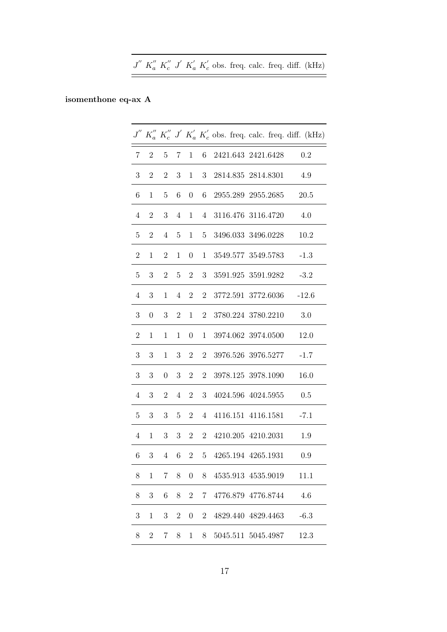|  |  |  |  |  | $J''$ $K''_a$ $K''_c$ $J'$ $K'_a$ $K'_c$ obs. freq. calc. freq. diff. (kHz) |  |
|--|--|--|--|--|-----------------------------------------------------------------------------|--|
|  |  |  |  |  |                                                                             |  |

# isomenthone eq-ax A

|                  |                  |                  |                |                  |                  |  |                              |  | $J^{''}$ $K_{a}^{''}$ $K_{c}^{''}$ $J^{'}$ $K_{a}^{'}$ $K_{c}^{'}$ obs. freq. calc. freq. diff. (kHz) |
|------------------|------------------|------------------|----------------|------------------|------------------|--|------------------------------|--|-------------------------------------------------------------------------------------------------------|
| $\overline{7}$   | $\overline{2}$   | $\overline{5}$   | $7\,$          | $\mathbf{1}$     | $6 -$            |  | 2421.643 2421.6428           |  | 0.2                                                                                                   |
| $\sqrt{3}$       | $\overline{2}$   | $\overline{2}$   | 3              | $\mathbf{1}$     | 3                |  | 2814.835 2814.8301           |  | 4.9                                                                                                   |
| $\,6$            | $\mathbf{1}$     | $\overline{5}$   | 6              | $\boldsymbol{0}$ | $\,6\,$          |  | 2955.289 2955.2685           |  | 20.5                                                                                                  |
| $\overline{4}$   | $\overline{2}$   | 3                | $\overline{4}$ | 1                | $\overline{4}$   |  | 3116.476 3116.4720           |  | 4.0                                                                                                   |
| $\overline{5}$   | $\overline{2}$   | $\overline{4}$   | 5              | $\mathbf{1}$     | 5 <sup>5</sup>   |  | 3496.033 3496.0228           |  | 10.2                                                                                                  |
| $\overline{2}$   | $\mathbf{1}$     | $\overline{2}$   | 1              | $\boldsymbol{0}$ | $\mathbf{1}$     |  | 3549.577 3549.5783           |  | $-1.3$                                                                                                |
| $\bf 5$          | $\sqrt{3}$       | $\overline{2}$   | 5              | $\overline{2}$   | $\boldsymbol{3}$ |  | 3591.925 3591.9282           |  | $-3.2$                                                                                                |
| $\overline{4}$   | 3                | $\mathbf{1}$     | $\overline{4}$ | $\overline{2}$   | $\overline{2}$   |  | 3772.591 3772.6036           |  | $-12.6$                                                                                               |
| $\boldsymbol{3}$ | $\overline{0}$   | 3                | $\overline{2}$ | $\mathbf{1}$     | $\overline{2}$   |  | 3780.224 3780.2210           |  | 3.0                                                                                                   |
| $\sqrt{2}$       | $\mathbf{1}$     | 1                | $\mathbf{1}$   | $\boldsymbol{0}$ | $\mathbf{1}$     |  | 3974.062 3974.0500           |  | 12.0                                                                                                  |
| $\boldsymbol{3}$ | 3                | 1                | 3              | $\overline{2}$   | $\overline{2}$   |  | 3976.526 3976.5277           |  | $-1.7$                                                                                                |
| 3                | 3                | $\boldsymbol{0}$ | 3              | $\overline{2}$   | $\overline{2}$   |  | 3978.125 3978.1090           |  | 16.0                                                                                                  |
| $\overline{4}$   | 3                | $\overline{2}$   | $\overline{4}$ | $\overline{2}$   | 3                |  | 4024.596 4024.5955           |  | 0.5                                                                                                   |
| $\overline{5}$   | $\boldsymbol{3}$ | 3                | 5              | $\overline{2}$   | $\overline{4}$   |  | 4116.151 4116.1581           |  | $-7.1$                                                                                                |
| $\overline{4}$   | $\mathbf{1}$     | 3                | 3              | $\overline{2}$   | $\overline{2}$   |  | 4210.205 4210.2031           |  | 1.9                                                                                                   |
| 6                |                  |                  |                |                  |                  |  | 3 4 6 2 5 4265.194 4265.1931 |  | 0.9                                                                                                   |
| 8                | 1                | $\overline{7}$   | 8              | $\overline{0}$   | 8                |  | 4535.913 4535.9019           |  | 11.1                                                                                                  |
| 8                | 3                | 6                | 8              | $\overline{2}$   | 7                |  | 4776.879 4776.8744           |  | 4.6                                                                                                   |
| $\sqrt{3}$       | $\mathbf{1}$     | $\sqrt{3}$       | $\sqrt{2}$     | $\boldsymbol{0}$ | $\overline{2}$   |  | 4829.440 4829.4463           |  | $-6.3$                                                                                                |
| 8                | $\overline{2}$   | 7                | 8              | $\mathbf{1}$     | 8                |  | 5045.511 5045.4987           |  | 12.3                                                                                                  |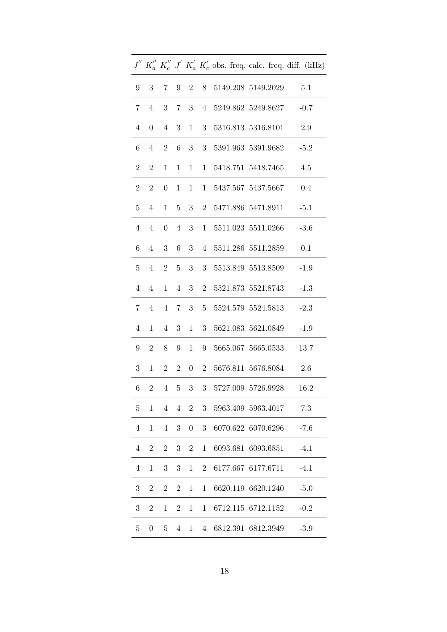|                |                  |                  |                |                     |                |  |                                                                     |  | $J^{''}\ K_{a}^{''}\ K_{c}^{''}\ J^{'}\ K_{a}^{'}\ K_{c}^{'}$ obs. freq. calc. freq. diff. (kHz) |
|----------------|------------------|------------------|----------------|---------------------|----------------|--|---------------------------------------------------------------------|--|--------------------------------------------------------------------------------------------------|
| 9              | 3 7              |                  |                |                     |                |  | $9 \quad 2 \quad 8 \quad 5149.208 \quad 5149.2029 \qquad \quad 5.1$ |  |                                                                                                  |
| $7\,$          | $\overline{4}$   | $\boldsymbol{3}$ |                |                     |                |  | 7 3 4 5249.862 5249.8627                                            |  | $-0.7$                                                                                           |
| $\overline{4}$ | $\boldsymbol{0}$ | $\overline{4}$   | 3              |                     | $1 \quad 3$    |  | 5316.813 5316.8101                                                  |  | 2.9                                                                                              |
| 6              | $\overline{4}$   | $\overline{2}$   |                |                     |                |  | 6 3 3 5391.963 5391.9682                                            |  | $-5.2$                                                                                           |
| $\overline{2}$ | $\overline{2}$   | $\mathbf{1}$     |                |                     |                |  | 1 1 1 5418.751 5418.7465                                            |  | 4.5                                                                                              |
| $\overline{2}$ | $2^{\circ}$      | $\boldsymbol{0}$ | 1              | $\mathbf{1}$        |                |  | 1 5437.567 5437.5667                                                |  | 0.4                                                                                              |
| $\overline{5}$ | $\overline{4}$   |                  |                |                     |                |  | 1 5 3 2 5471.886 5471.8911                                          |  | $-5.1$                                                                                           |
| $\overline{4}$ | $\overline{4}$   | $\overline{0}$   | $\overline{4}$ | 3                   |                |  | 1 5511.023 5511.0266                                                |  | $-3.6$                                                                                           |
| $6\phantom{.}$ | $\overline{4}$   | $\sqrt{3}$       | $\,6\,$        |                     |                |  | 3 4 5511.286 5511.2859                                              |  | 0.1                                                                                              |
| 5 <sup>5</sup> | $\overline{4}$   |                  |                |                     |                |  | 2 5 3 3 5513.849 5513.8509                                          |  | $-1.9$                                                                                           |
| $\overline{4}$ | $\overline{4}$   | $\mathbf{1}$     |                |                     |                |  | 4 3 2 5521.873 5521.8743                                            |  | $-1.3$                                                                                           |
| $7\phantom{.}$ | $\overline{4}$   | $\overline{4}$   |                | $7 \quad 3 \quad 5$ |                |  | 5524.579 5524.5813                                                  |  | $-2.3$                                                                                           |
| $\overline{4}$ | $\mathbf{1}$     | $\overline{4}$   | 3              |                     | $1 \quad 3$    |  | 5621.083 5621.0849                                                  |  | $-1.9$                                                                                           |
| 9              | $\mathbf{2}$     | 8                |                |                     |                |  | 9 1 9 5665.067 5665.0533                                            |  | 13.7                                                                                             |
| 3 <sup>1</sup> | $\mathbf{1}$     | 2 2              |                |                     |                |  | 0 2 5676.811 5676.8084                                              |  | 2.6                                                                                              |
| 6              | $\overline{2}$   | $\overline{4}$   |                | $5\quad 3$          |                |  | 3 5727.009 5726.9928                                                |  | 16.2                                                                                             |
| $\overline{5}$ | $\mathbf{1}$     | $\overline{4}$   | $\overline{4}$ | $\overline{2}$      | 3 <sup>1</sup> |  | 5963.409 5963.4017                                                  |  | 7.3                                                                                              |
| 4              | $\mathbf 1$      | 4                | 3              | $\overline{0}$      | 3              |  | 6070.622 6070.6296                                                  |  | $-7.6$                                                                                           |
| $\overline{4}$ | $\mathbf{2}$     | $\overline{2}$   | 3              | $\overline{2}$      | $\mathbf 1$    |  | 6093.681 6093.6851                                                  |  | $-4.1$                                                                                           |
| $\overline{4}$ | $\mathbf{1}$     | 3                | 3              | $\mathbf{1}$        | $\overline{2}$ |  | 6177.667 6177.6711                                                  |  | $-4.1$                                                                                           |
| 3              | $\overline{2}$   | $\overline{2}$   | $\overline{2}$ | $\mathbf{1}$        | 1              |  | 6620.119 6620.1240                                                  |  | $-5.0$                                                                                           |
| 3              | $\overline{2}$   | $\mathbf 1$      | $\overline{2}$ | 1                   | 1              |  | 6712.115 6712.1152                                                  |  | $-0.2$                                                                                           |
| $\overline{5}$ | $\boldsymbol{0}$ | 5                | $\overline{4}$ | $\mathbf{1}$        | 4 <sup>1</sup> |  | 6812.391 6812.3949                                                  |  | $-3.9$                                                                                           |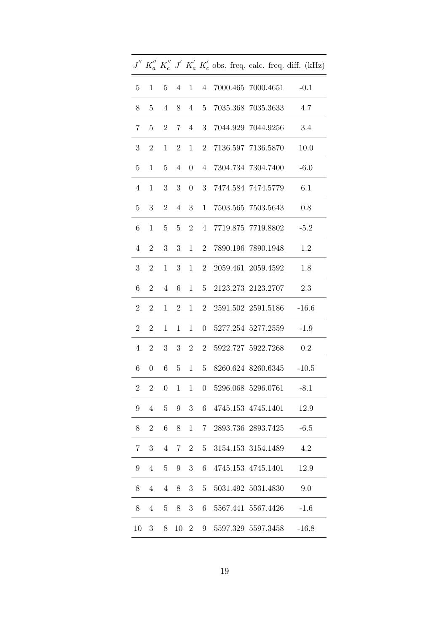|                  |                  |                |                |                     |                |  |                               |  | $J''$ $K''_a$ $K''_c$ $J'$ $K'_a$ $K'_c$ obs. freq. calc. freq. diff. (kHz) |
|------------------|------------------|----------------|----------------|---------------------|----------------|--|-------------------------------|--|-----------------------------------------------------------------------------|
| 5 <sup>5</sup>   | $\mathbf{1}$     | $5\degree$     |                |                     |                |  | 4 1 4 7000.465 7000.4651 -0.1 |  |                                                                             |
| 8                | $\overline{5}$   | $\overline{4}$ | 8              | $4\phantom{0}$      | 5 <sup>5</sup> |  | 7035.368 7035.3633            |  | 4.7                                                                         |
| $\overline{7}$   | $\overline{5}$   | $\overline{2}$ | $7\phantom{.}$ | $\overline{4}$      | 3 <sup>1</sup> |  | 7044.929 7044.9256            |  | 3.4                                                                         |
| $\boldsymbol{3}$ | $\boldsymbol{2}$ | $\mathbf 1$    | $\overline{2}$ | 1                   | $\overline{2}$ |  | 7136.597 7136.5870            |  | 10.0                                                                        |
| 5 <sup>5</sup>   | $\mathbf{1}$     | $\overline{5}$ |                |                     |                |  | 4 0 4 7304.734 7304.7400      |  | $-6.0$                                                                      |
| $\overline{4}$   | $\mathbf{1}$     | 3 <sup>1</sup> |                | $3\quad 0\quad 3$   |                |  | 7474.584 7474.5779            |  | 6.1                                                                         |
| $\overline{5}$   | 3                | $\overline{2}$ |                | $4 \quad 3$         | 1              |  | 7503.565 7503.5643            |  | 0.8                                                                         |
| 6                | $\mathbf{1}$     | $5\,$          |                | $5\quad 2$          | $4 -$          |  | 7719.875 7719.8802            |  | $-5.2$                                                                      |
| $\overline{4}$   | $\overline{2}$   | 3              | 3 <sup>1</sup> | $\mathbf{1}$        |                |  | 2 7890.196 7890.1948          |  | 1.2                                                                         |
| 3 <sup>1</sup>   | $\mathbf{2}$     | $\mathbf{1}$   |                | $3 \quad 1 \quad 2$ |                |  | 2059.461 2059.4592            |  | 1.8                                                                         |
| 6                | $\overline{2}$   | $\overline{4}$ | $6\quad$       | 1                   | 5 <sup>5</sup> |  | 2123.273 2123.2707            |  | 2.3                                                                         |
| $\boldsymbol{2}$ | $\sqrt{2}$       | $\mathbf{1}$   | $\overline{2}$ | 1                   | $\overline{2}$ |  | 2591.502 2591.5186            |  | $-16.6$                                                                     |
| $\overline{2}$   | $\mathbf{2}$     | $\mathbf{1}$   | $\mathbf{1}$   | 1                   | $\overline{0}$ |  | 5277.254 5277.2559            |  | $-1.9$                                                                      |
| $\overline{4}$   | $\overline{2}$   | 3 <sup>1</sup> |                | $3\quad 2$          | 2 <sup>1</sup> |  | 5922.727 5922.7268            |  | 0.2                                                                         |
| $6 -$            | $\overline{0}$   | $6\quad$       | 5 <sup>5</sup> |                     | $1\quad 5$     |  | 8260.624 8260.6345            |  | $-10.5$                                                                     |
| $\overline{2}$   | $\boldsymbol{2}$ | $\overline{0}$ |                |                     |                |  | 1 1 0 5296.068 5296.0761 -8.1 |  |                                                                             |
| 9                | $\overline{4}$   | $\overline{5}$ | 9              | $\mathbf{3}$        | 6              |  | 4745.153 4745.1401            |  | 12.9                                                                        |
| 8                | $\overline{2}$   | 6              | 8              | 1                   | $\overline{7}$ |  | 2893.736 2893.7425            |  | $-6.5$                                                                      |
| 7                | 3                | $\overline{4}$ | 7              | $\overline{2}$      | $5^{\circ}$    |  | 3154.153 3154.1489            |  | 4.2                                                                         |
| 9                | $\overline{4}$   | $\overline{5}$ | 9              | 3                   | 6              |  | 4745.153 4745.1401            |  | 12.9                                                                        |
| 8                | $\overline{4}$   | $\overline{4}$ | 8              | 3                   | $5^{\circ}$    |  | 5031.492 5031.4830            |  | 9.0                                                                         |
| 8                | $\overline{4}$   | 5              | 8              | 3                   | 6              |  | 5567.441 5567.4426            |  | $-1.6$                                                                      |
| 10               | 3                | 8              | 10             | $\overline{2}$      | 9              |  | 5597.329 5597.3458            |  | $-16.8$                                                                     |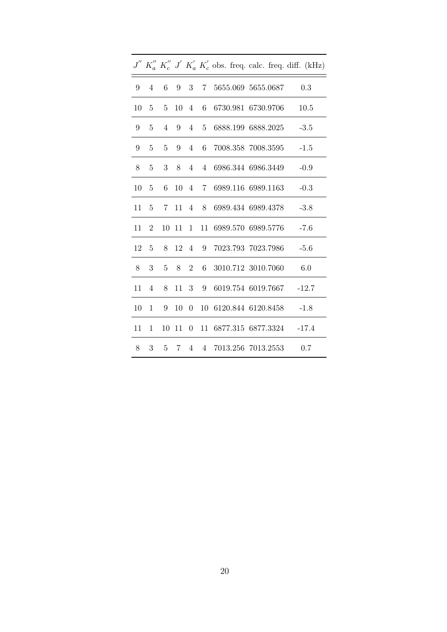|    |                |                |     |              |     |  |                          |                                  | $J'' K''_a K''_c J' K'_a K'_c$ obs. freq. calc. freq. diff. (kHz) |
|----|----------------|----------------|-----|--------------|-----|--|--------------------------|----------------------------------|-------------------------------------------------------------------|
| 9  | $\overline{4}$ | 6              |     |              |     |  |                          | 9 3 7 5655.069 5655.0687 0.3     |                                                                   |
| 10 | $\overline{5}$ | $\overline{5}$ |     |              |     |  |                          | 10 4 6 6730.981 6730.9706        | 10.5                                                              |
| 9  | 5              | $\overline{4}$ | 9   |              | 4 5 |  |                          | 6888.199 6888.2025               | $-3.5$                                                            |
| 9  | 5              | 5              | 9   |              |     |  |                          | 4 6 7008.358 7008.3595           | $-1.5$                                                            |
| 8  | 5              | 3              | 8   | 4            |     |  |                          | 4 6986.344 6986.3449             | $-0.9$                                                            |
| 10 | 5              | 6              |     |              |     |  |                          | 10 4 7 6989.116 6989.1163        | $-0.3$                                                            |
| 11 | $\overline{5}$ | 7 <sup>7</sup> |     |              |     |  |                          | 11 4 8 6989.434 6989.4378        | $-3.8$                                                            |
| 11 | 2              | 10             |     |              |     |  |                          | 11 1 11 6989.570 6989.5776       | $-7.6$                                                            |
| 12 | $\overline{5}$ | 8              |     |              |     |  |                          | 12 4 9 7023.793 7023.7986        | $-5.6$                                                            |
| 8  | 3              | 5              |     |              |     |  | 8 2 6 3010.712 3010.7060 |                                  | 6.0                                                               |
| 11 | $\overline{4}$ | 8              |     | $11 \quad 3$ |     |  |                          | 9 6019.754 6019.7667 -12.7       |                                                                   |
| 10 | 1              | 9              | 10  |              |     |  |                          | 0 10 6120.844 6120.8458          | $-1.8$                                                            |
| 11 | $\mathbf 1$    | 10             | -11 |              |     |  |                          | 0 11 6877.315 6877.3324 -17.4    |                                                                   |
| 8  |                |                |     |              |     |  |                          | 3 5 7 4 4 7013.256 7013.2553 0.7 |                                                                   |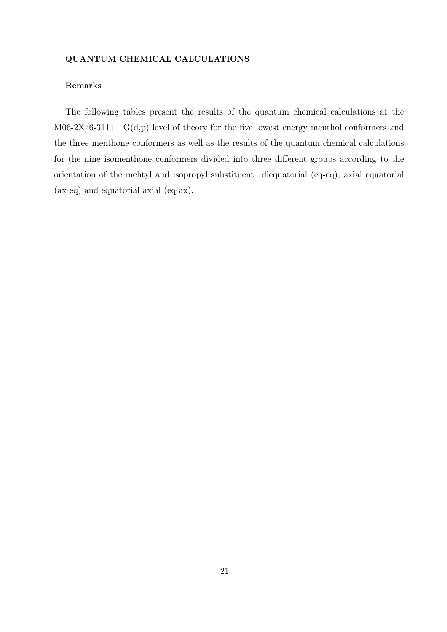## QUANTUM CHEMICAL CALCULATIONS

### Remarks

The following tables present the results of the quantum chemical calculations at the  $M06-2X/6-311++G(d,p)$  level of theory for the five lowest energy menthol conformers and the three menthone conformers as well as the results of the quantum chemical calculations for the nine isomenthone conformers divided into three different groups according to the orientation of the mehtyl and isopropyl substituent: diequatorial (eq-eq), axial equatorial (ax-eq) and equatorial axial (eq-ax).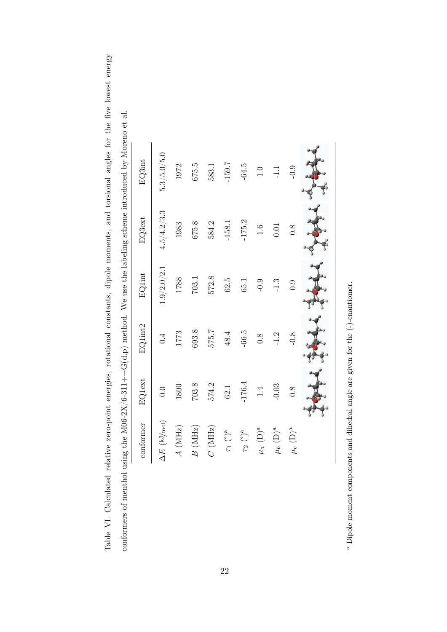| f menthol using t |                               |               |                  |               |               | the M06-2X/6-311++G(d,p) method. We use the labeling scheme introduced by Moreno et al. |  |
|-------------------|-------------------------------|---------------|------------------|---------------|---------------|-----------------------------------------------------------------------------------------|--|
|                   | conformer                     | EQ1ext        | EQ1int2          | <b>EQlint</b> | EQ3ext        | EQ3int                                                                                  |  |
|                   | $\Delta E$ (kJ/mol)           | 0.0           | $\dot{ }$        | 1.9/2.0/2.1   | 4.5/4.2/3.3   | 5.3/5.0/5.0                                                                             |  |
|                   | (MHz)<br>$\frac{1}{4}$        | 1800          | 1773             | 1788          | 1983          | 1972                                                                                    |  |
|                   | (MHz)<br>$\overline{B}$       | 703.8         | 693.8            | 703.1         | 675.8         | 675.5                                                                                   |  |
|                   | $(\mathrm{MHz})$<br>$\rm\sim$ | 574.2         | 575.7            | 572.8         | 584.2         | 583.1                                                                                   |  |
|                   | $\binom{a}{b}$<br>$\sqrt{1}$  | 62.1          | 48.4             | 62.5          | $-158.1$      | $-159.7$                                                                                |  |
|                   | $\binom{1}{\alpha}$<br>t2     | $-176.4$      | $-66.5$          | 65.1          | $-175.2$      | $-64.5$                                                                                 |  |
|                   | $(D)^a$<br>$\mu_a$            | $\frac{4}{1}$ | $\overline{0.8}$ | $-0.9$        | $\frac{6}{1}$ | 1.0                                                                                     |  |

 $^{\rm a}$  Dipole moment components and dihedral angle are given for the (-)-enantiomer. Dipole moment components and dihedral angle are given for the (-)-enantiomer.

 $\mu_b$  (D)<sup>a</sup> -1.2 -1.3 -1.3 0.01 -1.1

 $-1.2$ 

 $-0.03$ 

 $\mu_b~({\rm D})^{\rm a}$ 

 $-1.3$ 

 $\frac{1}{2}$ 

 $0.01$ 

 $-0.9$ 

 $0.8$ 

µ*c* (D)a 0.8 -0.8 0.9 0.8 -0.9

 $-0.8$ 

 $0.\overline{8}$ 

 $\mu_c$  (D)a

 $0.9$ 

Table VI. Calculated relative zero-point energies, rotational constants, dipole moments, and torsional angles for the five lowest energy Table VI. Calculated relative zero-point energies, rotational constants, dipole moments, and torsional angles for the five lowest energy conformers of menthol using the M06-2X/6-311++G(d,p) method. We use the labeling scheme introduced by Moreno et al. conformers of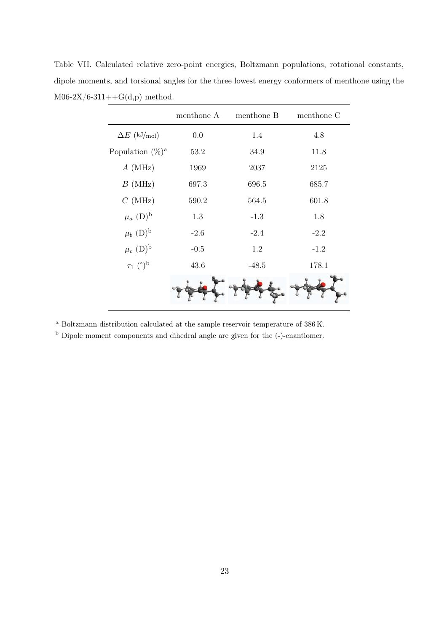Table VII. Calculated relative zero-point energies, Boltzmann populations, rotational constants, dipole moments, and torsional angles for the three lowest energy conformers of menthone using the  $M06-2X/6-311++G(d,p)$  method.

|                           | menthone A | menthone B | menthone C |
|---------------------------|------------|------------|------------|
| $\Delta E$ (kJ/mol)       | 0.0        | 1.4        | 4.8        |
| Population $(\%)^a$       | 53.2       | 34.9       | 11.8       |
| $A$ (MHz)                 | 1969       | 2037       | 2125       |
| $B$ (MHz)                 | 697.3      | 696.5      | 685.7      |
| $C$ (MHz)                 | 590.2      | 564.5      | 601.8      |
| $\mu_a~({\rm D})^{\rm b}$ | 1.3        | $-1.3$     | 1.8        |
| $\mu_b$ (D) <sup>b</sup>  | $-2.6$     | $-2.4$     | $-2.2$     |
| $\mu_c~({\rm D})^{\rm b}$ | $-0.5$     | 1.2        | $-1.2$     |
| $\tau_1$ (°) <sup>b</sup> | 43.6       | $-48.5$    | 178.1      |
|                           |            |            |            |

<sup>a</sup> Boltzmann distribution calculated at the sample reservoir temperature of 386 K.

<sup>b</sup> Dipole moment components and dihedral angle are given for the (-)-enantiomer.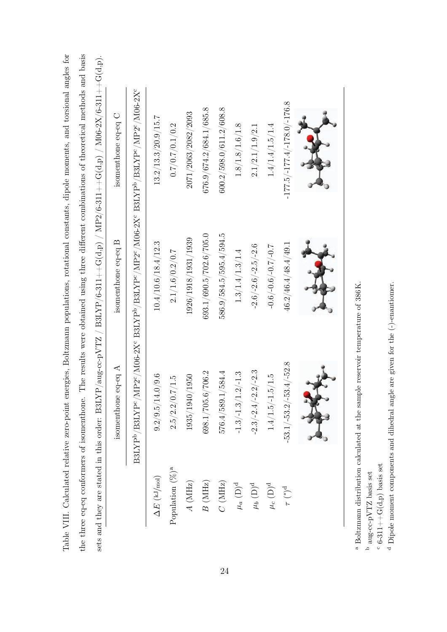|                                     | 美好                                                                                                                          | 黄                                                |                                            |
|-------------------------------------|-----------------------------------------------------------------------------------------------------------------------------|--------------------------------------------------|--------------------------------------------|
| $-177.5/ - 177.4/ - 178.0/ - 176.8$ | 46.2/46.4/48.4/49.1                                                                                                         | $-53.1/-53.2/-53.4/-52.8$                        | $\tau$ (°) <sup>d</sup>                    |
| $1.4/1.4/1.5/1.4$                   | $1.0 - \frac{1}{2}$ .0.0 (3.0 - $/9.0 - \frac{1}{2}$ )                                                                      | $1.4/1.5/-1.5/1.5$                               | $\mu_c~({\rm D})^{\rm d}$                  |
| 2.1/2.1/1.9/2.1                     | $-2.6/-2.6/-2.5/-2.6$                                                                                                       | $-2.3/-2.4/-2.2/-2.3$                            | $\mu_b~({\rm D})^{\rm d}$                  |
| 1.8/1.8/1.6/1.8                     | 1.3/1.4/1.3/1.4                                                                                                             | $\text{-}1.3/\text{-}1.3/\text{1.2}/\text{-}1.3$ | $\mu_a~({\rm D})^{\rm d}$                  |
| 600.2/598.0/611.2/608.8             | 586.9/584.5/595.4/594.5                                                                                                     | 576.4/589.1/584.4                                | $C$ (MHz)                                  |
| 676.9/674.2/684.1/685.8             | $693.1/690.5/702.6/705.0$                                                                                                   | 698.1/705.6/706.2                                | B(MHz)                                     |
| 2071/2063/2082/2093                 | 1926/1918/1931/1939                                                                                                         | 1935/1940/1950                                   | A(MHz)                                     |
| 0.7/0.7/0.1/0.2                     | 2.1/1.6/0.2/0.7                                                                                                             | 2.5/2.2/0.7/1.5                                  | Population $(\%)^a$                        |
| 13.2/13.3/20.9/15.7                 | 10.4/10.6/18.4/12.3                                                                                                         | 9.2/9.5/14.0/9.6                                 | $\Delta E$ (kJ/mol)                        |
|                                     | ${\rm B3LYP^b/BSLYP^c/MP2^c/MO6\text{-}2X^c\ B3LYP^b/BSLYP^c/MP2^c/MO6\text{-}2X^c\ B3LYP^b/BSLYP^c/MP2^c/MO6\text{-}2X^c}$ |                                                  |                                            |
| isomenthone eq-eq C                 | isomenthone eq-eq B                                                                                                         | isomenthone eq-eq $A$                            |                                            |
|                                     | sets and they are stated in this order: B3LYP/aug-cc-pVTZ / B3LYP/6-311++G(d,p) / MP2/6-311++G(d,p) / M06-2X/6-311++G(d,p). |                                                  |                                            |
|                                     | The results were obtained using three different combinations of theoretical methods and basis                               |                                                  | the three eq-eq conformers of isomenthone. |

Table VIII. Calculated relative zero-point energies, Boltzmann populations, rotational constants, dipole moments, and torsional angles for

Table VIII. Calculated relative zero-point energies, Boltzmann populations, rotational constants, dipole moments, and torsional angles for

 $^{\rm a}$  Boltzmann distribution calculated at the sample reservoir temperature of 386 K. Boltzmann distribution calculated at the sample reservoir temperature of 386 K.

 $^{\rm b}$  aug-cc-pVTZ basis set aug-cc-pVTZ basis set

 $^{\rm c}$  6-311++G(d,p) basis set  $\circ$  6-311 $+$ G $(G(d,p)$  basis set

 $^{\rm d}$  Dipole moment components and dihedral angle are given for the (-)-enantiomer. Dipole moment components and dihedral angle are given for the (-)-enantiomer.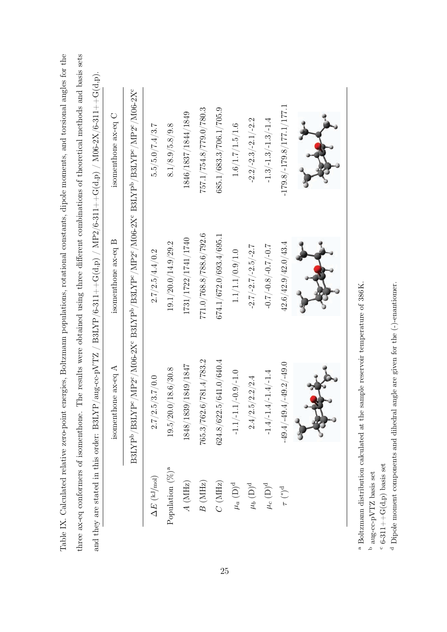|                           | isomenthone ax-eq A         | isomenthone ax-eq B                              | isomenthone ax-eq C                                                                                                           |
|---------------------------|-----------------------------|--------------------------------------------------|-------------------------------------------------------------------------------------------------------------------------------|
|                           |                             |                                                  | ${\rm B3LYP^b/BSLYP^c/MP2^c/MO6\text{-}2X^c\ B3LYP^b/ B3LYP^c/MP2^c/MO6\text{-}2X^c\ B3LYP^b/ B3LYP^c/MP2^c/MO6\text{-}2X^c}$ |
| $\Delta E\ (\rm kJ/mol)$  | 2.7/2.5/3.7/0.0             | 2.7/2.5/4.4/0.2                                  | 5.5/5.0/7.4/3.7                                                                                                               |
| Population $(\%)^a$       | 19.5/20.0/18.6/30.8         | 19.1/20.0/14.9/29.2                              | 8.1/8.9/5.8/9.8                                                                                                               |
| $A~(\mathrm{MHz})$        | 1848/1839/1849/1847         | 1731/1722/1741/1740                              | 1846/1837/1844/1849                                                                                                           |
| $B$ (MHz)                 | 765.3/762.6/781.4/783.2     | 771.0/768.8/788.6/792.6                          | 757.1/754.8/779.0/780.3                                                                                                       |
| $C~(\mathrm{MHz})$        | 624.8/622.5/641.0/640.4     | 674.1/672.0/693.4/695.1                          | 685.1/683.3/706.1/705.9                                                                                                       |
| $\mu_a~({\rm D})^{\rm d}$ | $-1.1/-1.1/-0.9/-1.0$       | 1.1/1.1/0.9/1.0                                  | 1.6/1.7/1.5/1.6                                                                                                               |
| $\mu_b~({\rm D})^{\rm d}$ | $\ddot{2}.4$<br>2.4/2.5/2.2 | $-2.7/-2.7/-2.5/-2.7$                            | $-2.2/-2.3/-2.1/-2.2$                                                                                                         |
| $\mu_c~({\rm D})^{\rm d}$ | $-1.4/-1.4/-1.4/-1.4$       | $7.0 - \frac{2.0}{7.0}$ (8.0 - $\frac{2.0}{7.0}$ | $-1.3/-1.3/-1.3/-1.4$                                                                                                         |
| $\tau$ (°) <sup>d</sup>   | $-49.4/-49.4/-49.2/-49.0$   | 42.6/42.9/42.0/43.4                              | $-179.8/ -179.8/177.1/177.1$                                                                                                  |
|                           |                             |                                                  |                                                                                                                               |

Table IX. Calculated relative zero-point energies, Boltzmann populations, rotational constants, dipole moments, and torsional angles for the

Table IX. Calculated relative zero-point energies, Boltzmann populations, rotational constants, dipole moments, and torsional angles for the

 $^{\rm a}$  Boltzmann distribution calculated at the sample reservoir temperature of 386 K. Boltzmann distribution calculated at the sample reservoir temperature of 386 K.

 $^{\rm b}$  aug-cc-pVTZ basis set aug-cc-pVTZ basis set

 $\overset{\circ}{\text{c}}$ 6-311++G(d,p) basis set  $\circ$  6-311++G(d,p) basis set

 $^{\rm d}$  Dipole moment components and dihedral angle are given for the (-)-enantiomer. Dipole moment components and dihedral angle are given for the (-)-enantiomer.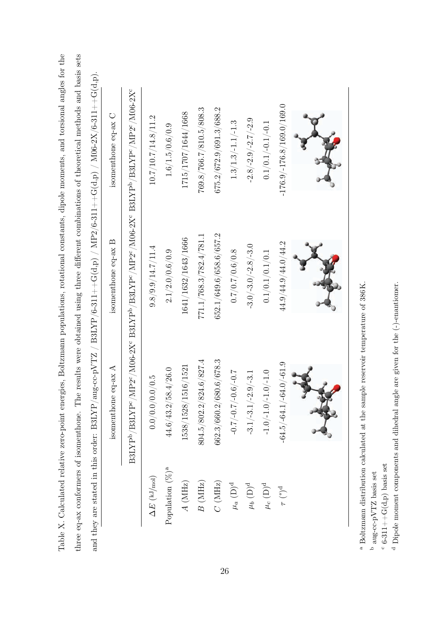| 44.9/44.9/44.0/44.2     | $-64.5/ -64.1/ -64.0/ -61.9$              | $\tau$ (°) <sup>d</sup>                                                                                                                                                                                                                                                                                                                                                                                                                                                                                                                           |
|-------------------------|-------------------------------------------|---------------------------------------------------------------------------------------------------------------------------------------------------------------------------------------------------------------------------------------------------------------------------------------------------------------------------------------------------------------------------------------------------------------------------------------------------------------------------------------------------------------------------------------------------|
| 0.1/0.1/0.1/0.1         | $-1.0/-1.0/-1.0/-1.0$                     | $\mu_c~({\rm D})^{\rm d}$                                                                                                                                                                                                                                                                                                                                                                                                                                                                                                                         |
| $-3.0/-3.0/-2.8/-3.0$   | $-3.1/-3.1/-2.9/-3.1$                     | $\mu_b~({\rm D})^{\rm d}$                                                                                                                                                                                                                                                                                                                                                                                                                                                                                                                         |
| 0.7/0.7/0.6/0.8         | $1.0 - \frac{7.0}{7.0} - \frac{7.0}{7.0}$ | $\mu_a~({\rm D})^{\rm d}$                                                                                                                                                                                                                                                                                                                                                                                                                                                                                                                         |
| 652.1/649.6/658.6/657.2 | $662.3/660.2/680.6/678.3$                 | $C$ (MHz)                                                                                                                                                                                                                                                                                                                                                                                                                                                                                                                                         |
| 771.1/768.3/782.4/781.1 | 804.5/802.2/824.6/827.4                   | B(MHz)                                                                                                                                                                                                                                                                                                                                                                                                                                                                                                                                            |
| 1641/1632/1643/1666     | 1538/1528/1516/1521                       | A(MHz)                                                                                                                                                                                                                                                                                                                                                                                                                                                                                                                                            |
| 2.1/2.0/0.6/0.9         | 44.6/43.2/58.4/26.0                       | Population $(\%)^a$                                                                                                                                                                                                                                                                                                                                                                                                                                                                                                                               |
| 9.8/9.9/14.7/11.4       | 0.0/0.0/0.0/0.5                           | $\Delta E$ (kJ/mol)                                                                                                                                                                                                                                                                                                                                                                                                                                                                                                                               |
|                         |                                           |                                                                                                                                                                                                                                                                                                                                                                                                                                                                                                                                                   |
| isomenthone eq-ax B     | isomenthone eq-ax $\mathbf A$             |                                                                                                                                                                                                                                                                                                                                                                                                                                                                                                                                                   |
|                         |                                           |                                                                                                                                                                                                                                                                                                                                                                                                                                                                                                                                                   |
|                         |                                           |                                                                                                                                                                                                                                                                                                                                                                                                                                                                                                                                                   |
|                         |                                           | Table X. Calculated relative zero-point energies, Boltzmann populations, rotational constants, dipole moments, and torsional angles for the<br>three eq-ax conformers of isomenthone. The results were obtained using three different combinations of theoretical methods and basis sets<br>and they are stated in this order: B3LYP/aug-cc-pVTZ / B3LYP/6-311++G(d,p) / MP2/6-311++G(d,p) / M06-2X/6-311++G(d,p).<br>${\rm B3LYP^b/BSLYP^c/MP2^c/MO6\text{-}2X^c\ B3LYP^b/BSLYP^c/MP2^c/MO6\text{-}2X^c\ B3LYP^b/BSLYP^c/MP2^c/MO6\text{-}2X^c}$ |

- $^{\rm a}$  Boltzmann distribution calculated at the sample reservoir temperature of 386 K. Boltzmann distribution calculated at the sample reservoir temperature of 386 K.
	- $^{\rm b}$  aug-cc-pVTZ basis set aug-cc-pVTZ basis set
- $\rm ^c$  6-311++G(d,p) basis set  $c$  6-311++G(d,p) basis set
- $^{\rm d}$  Dipole moment components and dihedral angle are given for the  $(\hbox{-})$  enantiomer. Dipole moment components and dihedral angle are given for the (-)-enantiomer.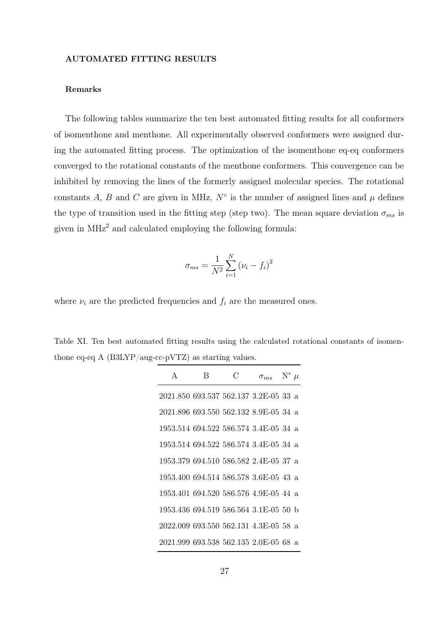#### AUTOMATED FITTING RESULTS

### Remarks

The following tables summarize the ten best automated fitting results for all conformers of isomenthone and menthone. All experimentally observed conformers were assigned during the automated fitting process. The optimization of the isomenthone eq-eq conformers converged to the rotational constants of the menthone conformers. This convergence can be inhibited by removing the lines of the formerly assigned molecular species. The rotational constants A, B and C are given in MHz,  $N^{\circ}$  is the number of assigned lines and  $\mu$  defines the type of transition used in the fitting step (step two). The mean square deviation  $\sigma_{ms}$  is given in  $MHz<sup>2</sup>$  and calculated employing the following formula:

$$
\sigma_{ms} = \frac{1}{N^2} \sum_{i=1}^{N} (\nu_i - f_i)^2
$$

where  $\nu_i$  are the predicted frequencies and  $f_i$  are the measured ones.

Table XI. Ten best automated fitting results using the calculated rotational constants of isomenthone eq-eq A (B3LYP/aug-cc-pVTZ) as starting values.

| A                                     | R | С | $\sigma_{ms}$ | $N^{\circ}$ $\mu$ |  |
|---------------------------------------|---|---|---------------|-------------------|--|
| 2021.850 693.537 562.137 3.2E-05 33 a |   |   |               |                   |  |
| 2021.896 693.550 562.132 8.9E-05 34 a |   |   |               |                   |  |
| 1953.514 694.522 586.574 3.4E-05 34 a |   |   |               |                   |  |
| 1953.514 694.522 586.574 3.4E-05 34 a |   |   |               |                   |  |
| 1953.379 694.510 586.582 2.4E-05 37 a |   |   |               |                   |  |
| 1953.400 694.514 586.578 3.6E-05 43 a |   |   |               |                   |  |
| 1953.401 694.520 586.576 4.9E-05 44 a |   |   |               |                   |  |
| 1953.436 694.519 586.564 3.1E-05 50 b |   |   |               |                   |  |
| 2022.009 693.550 562.131 4.3E-05 58 a |   |   |               |                   |  |
| 2021.999 693.538 562.135 2.0E-05 68 a |   |   |               |                   |  |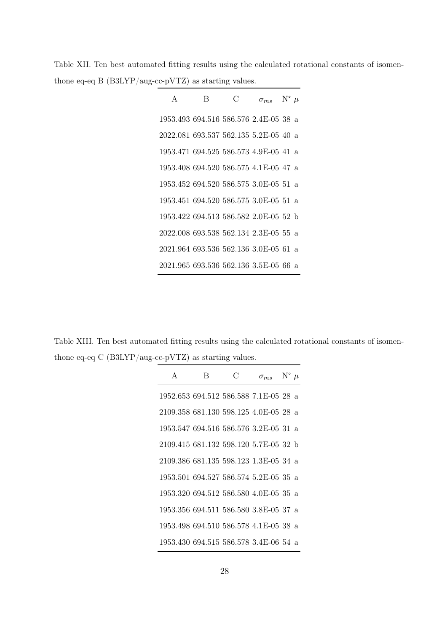Table XII. Ten best automated fitting results using the calculated rotational constants of isomenthone eq-eq B (B3LYP/aug-cc-pVTZ) as starting values.

| $\mathsf{A}$                          | В | C | $\sigma_{ms}$ | $N^{\circ}$ $\mu$ |  |
|---------------------------------------|---|---|---------------|-------------------|--|
| 1953.493 694.516 586.576 2.4E-05 38 a |   |   |               |                   |  |
| 2022.081 693.537 562.135 5.2E-05 40 a |   |   |               |                   |  |
| 1953.471 694.525 586.573 4.9E-05 41 a |   |   |               |                   |  |
| 1953.408 694.520 586.575 4.1E-05 47 a |   |   |               |                   |  |
| 1953.452 694.520 586.575 3.0E-05 51 a |   |   |               |                   |  |
| 1953.451 694.520 586.575 3.0E-05 51 a |   |   |               |                   |  |
| 1953.422 694.513 586.582 2.0E-05 52 b |   |   |               |                   |  |
| 2022.008 693.538 562.134 2.3E-05 55 a |   |   |               |                   |  |
| 2021.964 693.536 562.136 3.0E-05 61 a |   |   |               |                   |  |
| 2021.965 693.536 562.136 3.5E-05 66 a |   |   |               |                   |  |

Table XIII. Ten best automated fitting results using the calculated rotational constants of isomenthone eq-eq C (B3LYP/aug-cc-pVTZ) as starting values.

| A                                     | В | C | $\sigma_{ms}$ | $N^{\circ}$ $\mu$ |  |
|---------------------------------------|---|---|---------------|-------------------|--|
| 1952.653 694.512 586.588 7.1E-05 28 a |   |   |               |                   |  |
| 2109.358 681.130 598.125 4.0E-05 28 a |   |   |               |                   |  |
| 1953.547 694.516 586.576 3.2E-05 31 a |   |   |               |                   |  |
| 2109.415 681.132 598.120 5.7E-05 32 b |   |   |               |                   |  |
| 2109.386 681.135 598.123 1.3E-05 34 a |   |   |               |                   |  |
| 1953.501 694.527 586.574 5.2E-05 35 a |   |   |               |                   |  |
| 1953.320 694.512 586.580 4.0E-05 35 a |   |   |               |                   |  |
| 1953.356 694.511 586.580 3.8E-05 37 a |   |   |               |                   |  |
| 1953.498 694.510 586.578 4.1E-05 38 a |   |   |               |                   |  |
| 1953.430 694.515 586.578 3.4E-06 54 a |   |   |               |                   |  |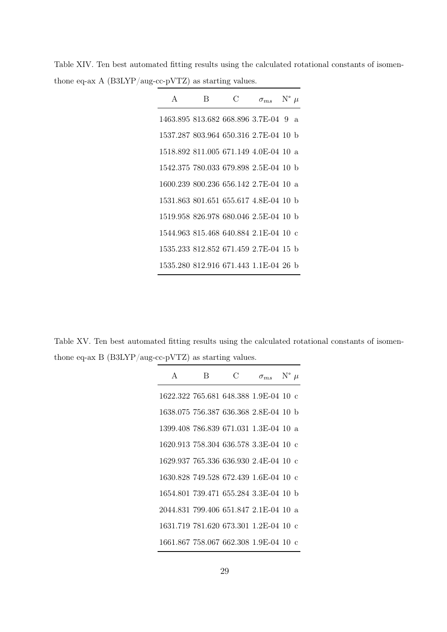Table XIV. Ten best automated fitting results using the calculated rotational constants of isomenthone eq-ax A (B3LYP/aug-cc-pVTZ) as starting values.

| $\mathsf{A}$                          | В | C | $\sigma_{ms}$ N° $\mu$ |    |
|---------------------------------------|---|---|------------------------|----|
| 1463.895 813.682 668.896 3.7E-04 9    |   |   |                        | a. |
| 1537.287 803.964 650.316 2.7E-04 10 b |   |   |                        |    |
| 1518.892 811.005 671.149 4.0E-04 10 a |   |   |                        |    |
| 1542.375 780.033 679.898 2.5E-04 10 b |   |   |                        |    |
| 1600.239 800.236 656.142 2.7E-04 10 a |   |   |                        |    |
| 1531.863 801.651 655.617 4.8E-04 10 b |   |   |                        |    |
| 1519.958 826.978 680.046 2.5E-04 10 b |   |   |                        |    |
| 1544.963 815.468 640.884 2.1E-04 10 c |   |   |                        |    |
| 1535.233 812.852 671.459 2.7E-04 15 b |   |   |                        |    |
| 1535.280 812.916 671.443 1.1E-04 26 b |   |   |                        |    |

Table XV. Ten best automated fitting results using the calculated rotational constants of isomenthone eq-ax B (B3LYP/aug-cc-pVTZ) as starting values.

| A                                     | В | C | $\sigma_{ms}$ N° $\mu$ |  |
|---------------------------------------|---|---|------------------------|--|
| 1622.322 765.681 648.388 1.9E-04 10 c |   |   |                        |  |
| 1638.075 756.387 636.368 2.8E-04 10 b |   |   |                        |  |
| 1399.408 786.839 671.031 1.3E-04 10 a |   |   |                        |  |
| 1620.913 758.304 636.578 3.3E-04 10 c |   |   |                        |  |
| 1629.937 765.336 636.930 2.4E-04 10 c |   |   |                        |  |
| 1630.828 749.528 672.439 1.6E-04 10 c |   |   |                        |  |
| 1654.801 739.471 655.284 3.3E-04 10 b |   |   |                        |  |
| 2044.831 799.406 651.847 2.1E-04 10 a |   |   |                        |  |
| 1631.719 781.620 673.301 1.2E-04 10 c |   |   |                        |  |
| 1661.867 758.067 662.308 1.9E-04 10 c |   |   |                        |  |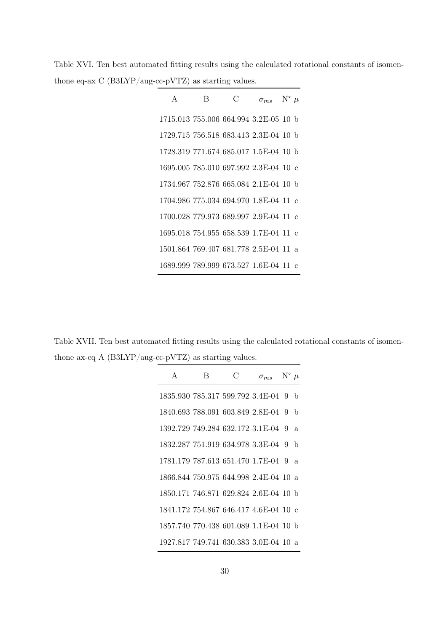Table XVI. Ten best automated fitting results using the calculated rotational constants of isomenthone eq-ax C (B3LYP/aug-cc-pVTZ) as starting values.

| A                                     | В | C | $\sigma_{ms}$ | $N^{\circ}$ $\mu$ |              |
|---------------------------------------|---|---|---------------|-------------------|--------------|
| 1715.013 755.006 664.994 3.2E-05 10 b |   |   |               |                   |              |
| 1729.715 756.518 683.413 2.3E-04 10 b |   |   |               |                   |              |
| 1728.319 771.674 685.017 1.5E-04 10 b |   |   |               |                   |              |
| 1695.005 785.010 697.992 2.3E-04 10 c |   |   |               |                   |              |
| 1734.967 752.876 665.084 2.1E-04 10 b |   |   |               |                   |              |
| 1704.986 775.034 694.970 1.8E-04 11 c |   |   |               |                   |              |
| 1700.028 779.973 689.997 2.9E-04 11 c |   |   |               |                   |              |
| 1695.018 754.955 658.539 1.7E-04 11 c |   |   |               |                   |              |
| 1501.864 769.407 681.778 2.5E-04 11   |   |   |               |                   | $\mathbf{a}$ |
| 1689.999 789.999 673.527 1.6E-04 11 c |   |   |               |                   |              |

Table XVII. Ten best automated fitting results using the calculated rotational constants of isomenthone ax-eq A (B3LYP/aug-cc-pVTZ) as starting values.

| A                                     | B | C | $\sigma_{ms}$ N° $\mu$ |              |
|---------------------------------------|---|---|------------------------|--------------|
| 1835.930 785.317 599.792 3.4E-04 9    |   |   |                        | $\mathbf{b}$ |
| 1840.693 788.091 603.849 2.8E-04 9    |   |   |                        | $\mathbf{b}$ |
| 1392.729 749.284 632.172 3.1E-04 9    |   |   |                        | $\mathbf{a}$ |
| 1832.287 751.919 634.978 3.3E-04 9    |   |   |                        | b            |
| 1781.179 787.613 651.470 1.7E-04 9    |   |   |                        | $\mathbf{a}$ |
| 1866.844 750.975 644.998 2.4E-04 10 a |   |   |                        |              |
| 1850.171 746.871 629.824 2.6E-04 10 b |   |   |                        |              |
| 1841.172 754.867 646.417 4.6E-04 10 c |   |   |                        |              |
| 1857.740 770.438 601.089 1.1E-04 10 b |   |   |                        |              |
| 1927.817 749.741 630.383 3.0E-04 10 a |   |   |                        |              |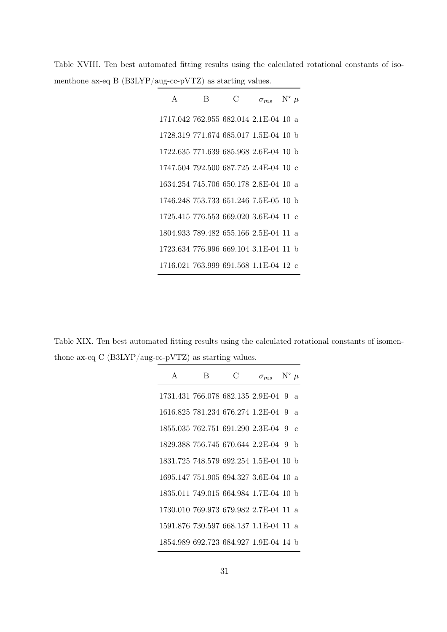| $\mathsf{A}$                          | R | ( ) | $\sigma_{ms}$ | $N^{\circ}$ $\mu$ |  |
|---------------------------------------|---|-----|---------------|-------------------|--|
| 1717.042 762.955 682.014 2.1E-04 10 a |   |     |               |                   |  |
| 1728.319 771.674 685.017 1.5E-04 10 b |   |     |               |                   |  |
| 1722.635 771.639 685.968 2.6E-04 10 b |   |     |               |                   |  |
| 1747.504 792.500 687.725 2.4E-04 10 c |   |     |               |                   |  |
| 1634.254 745.706 650.178 2.8E-04 10 a |   |     |               |                   |  |
| 1746.248 753.733 651.246 7.5E-05 10 b |   |     |               |                   |  |
| 1725.415 776.553 669.020 3.6E-04 11 c |   |     |               |                   |  |
| 1804.933 789.482 655.166 2.5E-04 11 a |   |     |               |                   |  |
| 1723.634 776.996 669.104 3.1E-04 11 b |   |     |               |                   |  |
| 1716.021 763.999 691.568 1.1E-04 12 c |   |     |               |                   |  |

Table XVIII. Ten best automated fitting results using the calculated rotational constants of isomenthone ax-eq B (B3LYP/aug-cc-pVTZ) as starting values.

Table XIX. Ten best automated fitting results using the calculated rotational constants of isomenthone ax-eq C (B3LYP/aug-cc-pVTZ) as starting values.

| A                                     | B | C | $\sigma_{ms}$ N° $\mu$ |               |
|---------------------------------------|---|---|------------------------|---------------|
| 1731.431 766.078 682.135 2.9E-04 9    |   |   |                        | $\mathbf{a}$  |
| 1616.825 781.234 676.274 1.2E-04 9    |   |   |                        | a.            |
| 1855.035 762.751 691.290 2.3E-04 9    |   |   |                        | $\mathcal{C}$ |
| 1829.388 756.745 670.644 2.2E-04 9 b  |   |   |                        |               |
| 1831.725 748.579 692.254 1.5E-04 10 b |   |   |                        |               |
| 1695.147 751.905 694.327 3.6E-04 10 a |   |   |                        |               |
| 1835.011 749.015 664.984 1.7E-04 10 b |   |   |                        |               |
| 1730.010 769.973 679.982 2.7E-04 11 a |   |   |                        |               |
| 1591.876 730.597 668.137 1.1E-04 11 a |   |   |                        |               |
| 1854.989 692.723 684.927 1.9E-04 14 b |   |   |                        |               |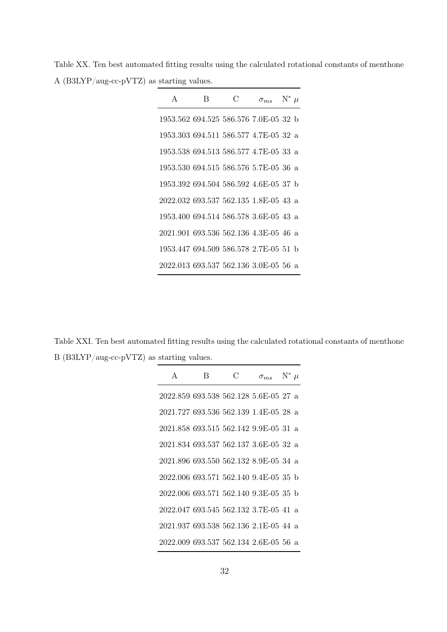Table XX. Ten best automated fitting results using the calculated rotational constants of menthone A (B3LYP/aug-cc-pVTZ) as starting values.

| $\mathsf{A}$                          | В | C | $\sigma_{ms}$ | $N^{\circ}$ $\mu$ |  |
|---------------------------------------|---|---|---------------|-------------------|--|
| 1953.562 694.525 586.576 7.0E-05 32 b |   |   |               |                   |  |
| 1953.303 694.511 586.577 4.7E-05 32 a |   |   |               |                   |  |
| 1953.538 694.513 586.577 4.7E-05 33 a |   |   |               |                   |  |
| 1953.530 694.515 586.576 5.7E-05 36 a |   |   |               |                   |  |
| 1953.392 694.504 586.592 4.6E-05 37 b |   |   |               |                   |  |
| 2022.032 693.537 562.135 1.8E-05 43 a |   |   |               |                   |  |
| 1953.400 694.514 586.578 3.6E-05 43 a |   |   |               |                   |  |
| 2021.901 693.536 562.136 4.3E-05 46 a |   |   |               |                   |  |
| 1953.447 694.509 586.578 2.7E-05 51 b |   |   |               |                   |  |
| 2022.013 693.537 562.136 3.0E-05 56 a |   |   |               |                   |  |

Table XXI. Ten best automated fitting results using the calculated rotational constants of menthone B (B3LYP/aug-cc-pVTZ) as starting values.

| A                                     | В | C | $\sigma_{ms}$ | $N^{\circ}$ $\mu$ |  |
|---------------------------------------|---|---|---------------|-------------------|--|
| 2022.859 693.538 562.128 5.6E-05 27 a |   |   |               |                   |  |
| 2021.727 693.536 562.139 1.4E-05 28 a |   |   |               |                   |  |
| 2021.858 693.515 562.142 9.9E-05 31 a |   |   |               |                   |  |
| 2021.834 693.537 562.137 3.6E-05 32 a |   |   |               |                   |  |
| 2021.896 693.550 562.132 8.9E-05 34 a |   |   |               |                   |  |
| 2022.006 693.571 562.140 9.4E-05 35 b |   |   |               |                   |  |
| 2022.006 693.571 562.140 9.3E-05 35 b |   |   |               |                   |  |
| 2022.047 693.545 562.132 3.7E-05 41 a |   |   |               |                   |  |
| 2021.937 693.538 562.136 2.1E-05 44 a |   |   |               |                   |  |
| 2022.009 693.537 562.134 2.6E-05 56 a |   |   |               |                   |  |